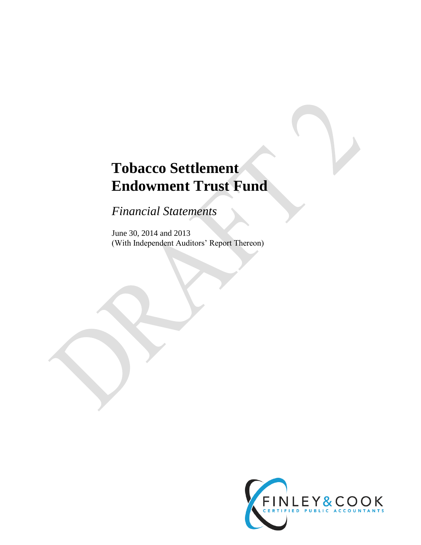# **Tobacco Settlement Endowment Trust Fund**

*Financial Statements*

June 30, 2014 and 2013 (With Independent Auditors' Report Thereon)

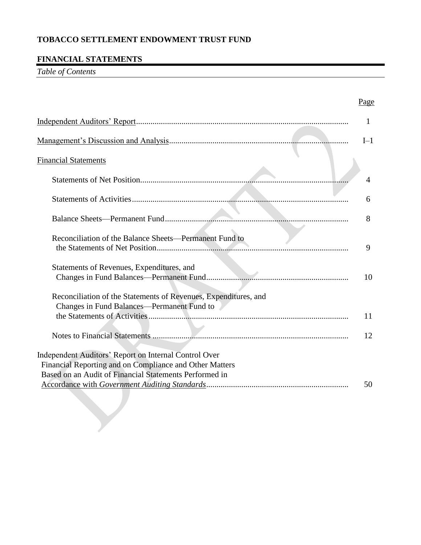### **FINANCIAL STATEMENTS**

*Table of Contents*

|                                                                                                                                                                            | Page           |
|----------------------------------------------------------------------------------------------------------------------------------------------------------------------------|----------------|
|                                                                                                                                                                            | 1              |
|                                                                                                                                                                            | $I-1$          |
| <b>Financial Statements</b>                                                                                                                                                |                |
|                                                                                                                                                                            | $\overline{4}$ |
|                                                                                                                                                                            | <sub>0</sub>   |
|                                                                                                                                                                            | 8              |
| Reconciliation of the Balance Sheets-Permanent Fund to                                                                                                                     | 9              |
| Statements of Revenues, Expenditures, and                                                                                                                                  | 10             |
| Reconciliation of the Statements of Revenues, Expenditures, and                                                                                                            |                |
| Changes in Fund Balances—Permanent Fund to                                                                                                                                 | 11             |
|                                                                                                                                                                            | 12             |
| Independent Auditors' Report on Internal Control Over<br>Financial Reporting and on Compliance and Other Matters<br>Based on an Audit of Financial Statements Performed in |                |
|                                                                                                                                                                            | 50             |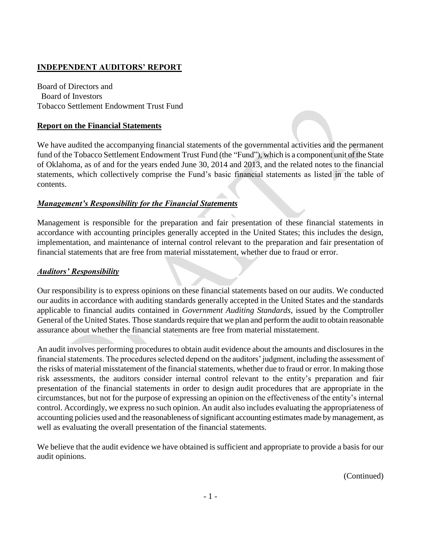### **INDEPENDENT AUDITORS' REPORT**

Board of Directors and Board of Investors Tobacco Settlement Endowment Trust Fund

#### **Report on the Financial Statements**

We have audited the accompanying financial statements of the governmental activities and the permanent fund of the Tobacco Settlement Endowment Trust Fund (the "Fund"), which is a component unit of the State of Oklahoma, as of and for the years ended June 30, 2014 and 2013, and the related notes to the financial statements, which collectively comprise the Fund's basic financial statements as listed in the table of contents.

### *Management's Responsibility for the Financial Statements*

Management is responsible for the preparation and fair presentation of these financial statements in accordance with accounting principles generally accepted in the United States; this includes the design, implementation, and maintenance of internal control relevant to the preparation and fair presentation of financial statements that are free from material misstatement, whether due to fraud or error.

#### *Auditors' Responsibility*

Our responsibility is to express opinions on these financial statements based on our audits. We conducted our audits in accordance with auditing standards generally accepted in the United States and the standards applicable to financial audits contained in *Government Auditing Standards*, issued by the Comptroller General of the United States. Those standards require that we plan and perform the audit to obtain reasonable assurance about whether the financial statements are free from material misstatement.

An audit involves performing procedures to obtain audit evidence about the amounts and disclosures in the financial statements. The procedures selected depend on the auditors' judgment, including the assessment of the risks of material misstatement of the financial statements, whether due to fraud or error. In making those risk assessments, the auditors consider internal control relevant to the entity's preparation and fair presentation of the financial statements in order to design audit procedures that are appropriate in the circumstances, but not for the purpose of expressing an opinion on the effectiveness of the entity's internal control. Accordingly, we express no such opinion. An audit also includes evaluating the appropriateness of accounting policies used and the reasonableness of significant accounting estimates made bymanagement, as well as evaluating the overall presentation of the financial statements.

We believe that the audit evidence we have obtained is sufficient and appropriate to provide a basis for our audit opinions.

(Continued)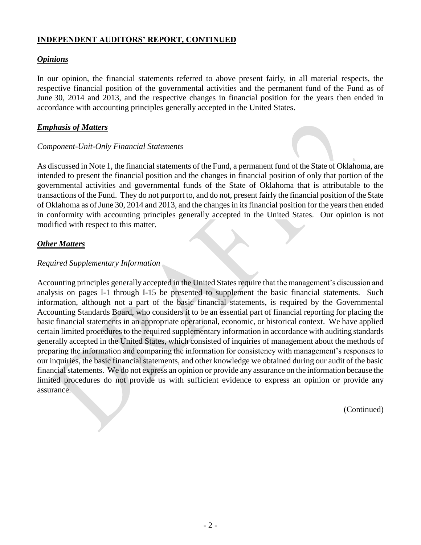### **INDEPENDENT AUDITORS' REPORT, CONTINUED**

### *Opinions*

In our opinion, the financial statements referred to above present fairly, in all material respects, the respective financial position of the governmental activities and the permanent fund of the Fund as of June 30, 2014 and 2013, and the respective changes in financial position for the years then ended in accordance with accounting principles generally accepted in the United States.

#### *Emphasis of Matters*

#### *Component-Unit-Only Financial Statements*

As discussed in Note 1, the financial statements of the Fund, a permanent fund of the State of Oklahoma, are intended to present the financial position and the changes in financial position of only that portion of the governmental activities and governmental funds of the State of Oklahoma that is attributable to the transactions of the Fund. They do not purport to, and do not, present fairly the financial position of the State of Oklahoma as of June 30, 2014 and 2013, and the changes in its financial position for the years then ended in conformity with accounting principles generally accepted in the United States. Our opinion is not modified with respect to this matter.

#### *Other Matters*

#### *Required Supplementary Information*

Accounting principles generally accepted in the United States require that the management's discussion and analysis on pages I-1 through I-15 be presented to supplement the basic financial statements. Such information, although not a part of the basic financial statements, is required by the Governmental Accounting Standards Board, who considers it to be an essential part of financial reporting for placing the basic financial statements in an appropriate operational, economic, or historical context. We have applied certain limited procedures to the required supplementary information in accordance with auditing standards generally accepted in the United States, which consisted of inquiries of management about the methods of preparing the information and comparing the information for consistency with management's responses to our inquiries, the basic financial statements, and other knowledge we obtained during our audit of the basic financial statements. We do not express an opinion or provide any assurance on the information because the limited procedures do not provide us with sufficient evidence to express an opinion or provide any assurance.

(Continued)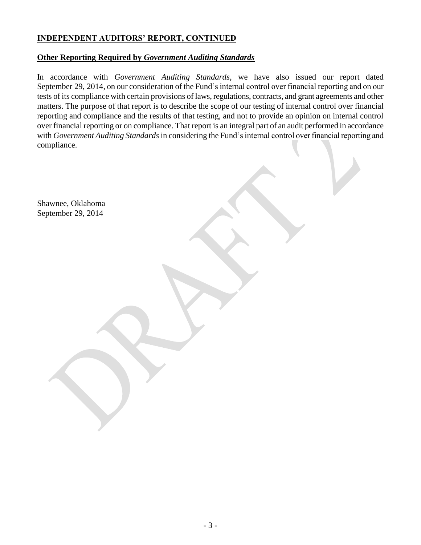# **INDEPENDENT AUDITORS' REPORT, CONTINUED**

### **Other Reporting Required by** *Government Auditing Standards*

In accordance with *Government Auditing Standards*, we have also issued our report dated September 29, 2014, on our consideration of the Fund's internal control over financial reporting and on our tests of its compliance with certain provisions of laws, regulations, contracts, and grant agreements and other matters. The purpose of that report is to describe the scope of our testing of internal control over financial reporting and compliance and the results of that testing, and not to provide an opinion on internal control over financial reporting or on compliance. That report is an integral part of an audit performed in accordance with *Government Auditing Standards* in considering the Fund's internal control over financial reporting and compliance.

Shawnee, Oklahoma September 29, 2014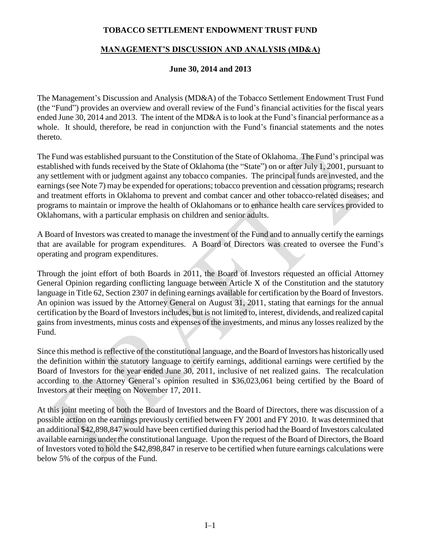# **MANAGEMENT'S DISCUSSION AND ANALYSIS (MD&A)**

### **June 30, 2014 and 2013**

The Management's Discussion and Analysis (MD&A) of the Tobacco Settlement Endowment Trust Fund (the "Fund") provides an overview and overall review of the Fund's financial activities for the fiscal years ended June 30, 2014 and 2013. The intent of the MD&A is to look at the Fund's financial performance as a whole. It should, therefore, be read in conjunction with the Fund's financial statements and the notes thereto.

The Fund was established pursuant to the Constitution of the State of Oklahoma. The Fund's principal was established with funds received by the State of Oklahoma (the "State") on or after July 1, 2001, pursuant to any settlement with or judgment against any tobacco companies. The principal funds are invested, and the earnings(see Note 7) may be expended for operations; tobacco prevention and cessation programs; research and treatment efforts in Oklahoma to prevent and combat cancer and other tobacco-related diseases; and programs to maintain or improve the health of Oklahomans or to enhance health care services provided to Oklahomans, with a particular emphasis on children and senior adults.

A Board of Investors was created to manage the investment of the Fund and to annually certify the earnings that are available for program expenditures. A Board of Directors was created to oversee the Fund's operating and program expenditures.

Through the joint effort of both Boards in 2011, the Board of Investors requested an official Attorney General Opinion regarding conflicting language between Article X of the Constitution and the statutory language in Title 62, Section 2307 in defining earnings available for certification by the Board of Investors. An opinion was issued by the Attorney General on August 31, 2011, stating that earnings for the annual certification by the Board of Investors includes, but is not limited to, interest, dividends, and realized capital gains from investments, minus costs and expenses of the investments, and minus any losses realized by the Fund.

Since this method is reflective of the constitutional language, and the Board of Investors has historically used the definition within the statutory language to certify earnings, additional earnings were certified by the Board of Investors for the year ended June 30, 2011, inclusive of net realized gains. The recalculation according to the Attorney General's opinion resulted in \$36,023,061 being certified by the Board of Investors at their meeting on November 17, 2011.

At this joint meeting of both the Board of Investors and the Board of Directors, there was discussion of a possible action on the earnings previously certified between FY 2001 and FY 2010. It was determined that an additional \$42,898,847 would have been certified during this period had the Board of Investors calculated available earnings under the constitutional language. Upon the request of the Board of Directors, the Board of Investors voted to hold the \$42,898,847 in reserve to be certified when future earnings calculations were below 5% of the corpus of the Fund.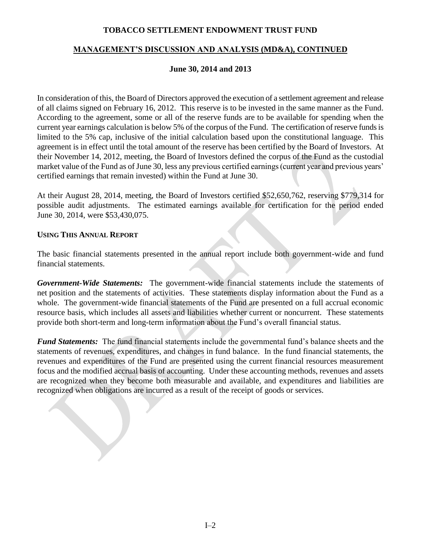### **MANAGEMENT'S DISCUSSION AND ANALYSIS (MD&A), CONTINUED**

#### **June 30, 2014 and 2013**

In consideration of this, the Board of Directors approved the execution of a settlement agreement and release of all claims signed on February 16, 2012. This reserve is to be invested in the same manner as the Fund. According to the agreement, some or all of the reserve funds are to be available for spending when the current year earnings calculation is below 5% of the corpus of the Fund. The certification of reserve funds is limited to the 5% cap, inclusive of the initial calculation based upon the constitutional language. This agreement is in effect until the total amount of the reserve has been certified by the Board of Investors. At their November 14, 2012, meeting, the Board of Investors defined the corpus of the Fund as the custodial market value of the Fund as of June 30, less any previous certified earnings (current year and previous years' certified earnings that remain invested) within the Fund at June 30.

At their August 28, 2014, meeting, the Board of Investors certified \$52,650,762, reserving \$779,314 for possible audit adjustments. The estimated earnings available for certification for the period ended June 30, 2014, were \$53,430,075.

#### **USING THIS ANNUAL REPORT**

The basic financial statements presented in the annual report include both government-wide and fund financial statements.

*Government-Wide Statements:* The government-wide financial statements include the statements of net position and the statements of activities. These statements display information about the Fund as a whole. The government-wide financial statements of the Fund are presented on a full accrual economic resource basis, which includes all assets and liabilities whether current or noncurrent. These statements provide both short-term and long-term information about the Fund's overall financial status.

*Fund Statements:* The fund financial statements include the governmental fund's balance sheets and the statements of revenues, expenditures, and changes in fund balance. In the fund financial statements, the revenues and expenditures of the Fund are presented using the current financial resources measurement focus and the modified accrual basis of accounting. Under these accounting methods, revenues and assets are recognized when they become both measurable and available, and expenditures and liabilities are recognized when obligations are incurred as a result of the receipt of goods or services.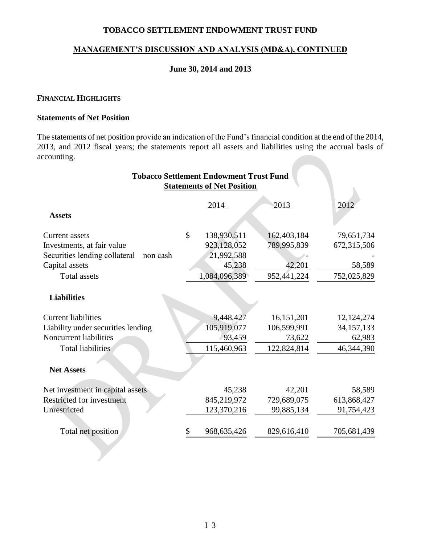#### **MANAGEMENT'S DISCUSSION AND ANALYSIS (MD&A), CONTINUED**

### **June 30, 2014 and 2013**

#### **FINANCIAL HIGHLIGHTS**

#### **Statements of Net Position**

The statements of net position provide an indication of the Fund's financial condition at the end of the 2014, 2013, and 2012 fiscal years; the statements report all assets and liabilities using the accrual basis of accounting.

|                                        | <b>Tobacco Settlement Endowment Trust Fund</b> |             |              |
|----------------------------------------|------------------------------------------------|-------------|--------------|
|                                        | <b>Statements of Net Position</b>              |             |              |
| <b>Assets</b>                          | 2014                                           | 2013        | 2012         |
| Current assets                         | \$<br>138,930,511                              | 162,403,184 | 79,651,734   |
| Investments, at fair value             | 923,128,052                                    | 789,995,839 | 672,315,506  |
| Securities lending collateral—non cash | 21,992,588                                     |             |              |
| Capital assets                         | 45,238                                         | 42,201      | 58,589       |
| <b>Total assets</b>                    | 1,084,096,389                                  | 952,441,224 | 752,025,829  |
| <b>Liabilities</b>                     |                                                |             |              |
| <b>Current liabilities</b>             | 9,448,427                                      | 16,151,201  | 12, 124, 274 |
| Liability under securities lending     | 105,919,077                                    | 106,599,991 | 34, 157, 133 |
| Noncurrent liabilities                 | 93,459                                         | 73,622      | 62,983       |
| <b>Total liabilities</b>               | 115,460,963                                    | 122,824,814 | 46,344,390   |
| <b>Net Assets</b>                      |                                                |             |              |
| Net investment in capital assets       | 45,238                                         | 42,201      | 58,589       |
| <b>Restricted for investment</b>       | 845,219,972                                    | 729,689,075 | 613,868,427  |
| Unrestricted                           | 123,370,216                                    | 99,885,134  | 91,754,423   |
| Total net position                     | \$<br>968, 635, 426                            | 829,616,410 | 705,681,439  |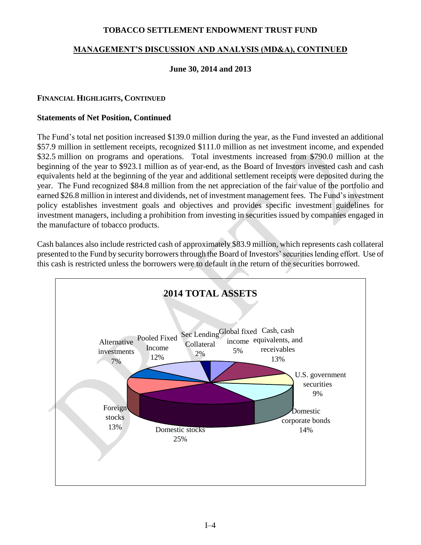### **MANAGEMENT'S DISCUSSION AND ANALYSIS (MD&A), CONTINUED**

### **June 30, 2014 and 2013**

### **FINANCIAL HIGHLIGHTS, CONTINUED**

#### **Statements of Net Position, Continued**

The Fund's total net position increased \$139.0 million during the year, as the Fund invested an additional \$57.9 million in settlement receipts, recognized \$111.0 million as net investment income, and expended \$32.5 million on programs and operations. Total investments increased from \$790.0 million at the beginning of the year to \$923.1 million as of year-end, as the Board of Investors invested cash and cash equivalents held at the beginning of the year and additional settlement receipts were deposited during the year. The Fund recognized \$84.8 million from the net appreciation of the fair value of the portfolio and earned \$26.8 million in interest and dividends, net of investment management fees. The Fund's investment policy establishes investment goals and objectives and provides specific investment guidelines for investment managers, including a prohibition from investing in securities issued by companies engaged in the manufacture of tobacco products.

Cash balances also include restricted cash of approximately \$83.9 million, which represents cash collateral presented to the Fund by security borrowers through the Board of Investors' securities lending effort. Use of this cash is restricted unless the borrowers were to default in the return of the securities borrowed.

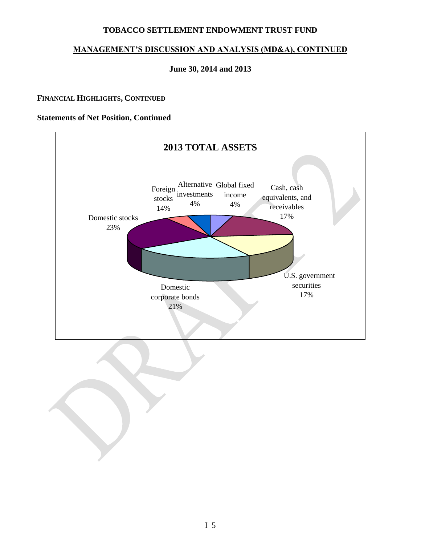# **MANAGEMENT'S DISCUSSION AND ANALYSIS (MD&A), CONTINUED**

### **June 30, 2014 and 2013**

#### **FINANCIAL HIGHLIGHTS, CONTINUED**

### **Statements of Net Position, Continued**



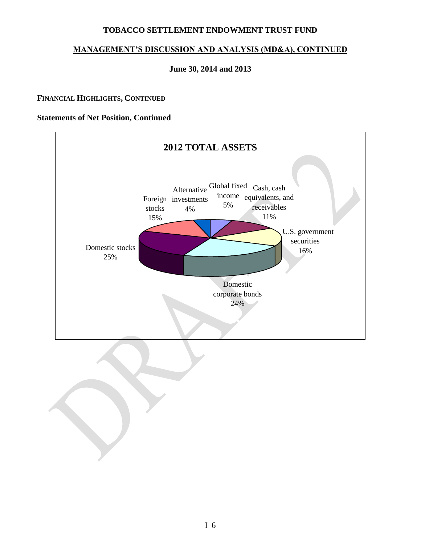# **MANAGEMENT'S DISCUSSION AND ANALYSIS (MD&A), CONTINUED**

### **June 30, 2014 and 2013**

#### **FINANCIAL HIGHLIGHTS, CONTINUED**

#### **Statements of Net Position, Continued**



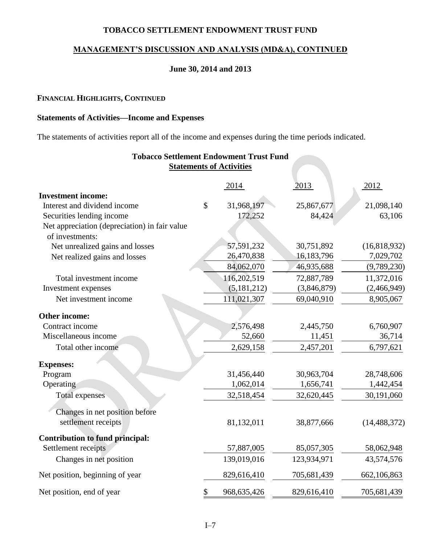### **MANAGEMENT'S DISCUSSION AND ANALYSIS (MD&A), CONTINUED**

### **June 30, 2014 and 2013**

#### **FINANCIAL HIGHLIGHTS, CONTINUED**

#### **Statements of Activities—Income and Expenses**

The statements of activities report all of the income and expenses during the time periods indicated.

|                                                                            |    | <b>Tobacco Settlement Endowment Trust Fund</b> |                      |                |
|----------------------------------------------------------------------------|----|------------------------------------------------|----------------------|----------------|
| <b>Statements of Activities</b>                                            |    |                                                |                      |                |
|                                                                            |    | 2014                                           | 2013                 | 2012           |
| <b>Investment income:</b><br>Interest and dividend income                  | \$ | 31,968,197                                     |                      | 21,098,140     |
|                                                                            |    | 172,252                                        | 25,867,677<br>84,424 | 63,106         |
| Securities lending income<br>Net appreciation (depreciation) in fair value |    |                                                |                      |                |
| of investments:                                                            |    |                                                |                      |                |
| Net unrealized gains and losses                                            |    | 57,591,232                                     | 30,751,892           | (16, 818, 932) |
| Net realized gains and losses                                              |    | 26,470,838                                     | 16,183,796           | 7,029,702      |
|                                                                            |    | 84,062,070                                     | 46,935,688           | (9,789,230)    |
| Total investment income                                                    |    | 116,202,519                                    | 72,887,789           | 11,372,016     |
| Investment expenses                                                        |    | (5, 181, 212)                                  | (3,846,879)          | (2,466,949)    |
| Net investment income                                                      |    | 111,021,307                                    | 69,040,910           | 8,905,067      |
| Other income:                                                              |    |                                                |                      |                |
| Contract income                                                            |    | 2,576,498                                      | 2,445,750            | 6,760,907      |
| Miscellaneous income                                                       |    | 52,660                                         | 11,451               | 36,714         |
| Total other income                                                         |    | 2,629,158                                      | 2,457,201            | 6,797,621      |
| <b>Expenses:</b>                                                           |    |                                                |                      |                |
| Program                                                                    |    | 31,456,440                                     | 30,963,704           | 28,748,606     |
| Operating                                                                  |    | 1,062,014                                      | 1,656,741            | 1,442,454      |
| <b>Total expenses</b>                                                      |    | 32,518,454                                     | 32,620,445           | 30,191,060     |
| Changes in net position before                                             |    |                                                |                      |                |
| settlement receipts                                                        |    | 81,132,011                                     | 38,877,666           | (14, 488, 372) |
| <b>Contribution to fund principal:</b>                                     |    |                                                |                      |                |
| Settlement receipts                                                        |    | 57,887,005                                     | 85,057,305           | 58,062,948     |
| Changes in net position                                                    |    | 139,019,016                                    | 123,934,971          | 43,574,576     |
| Net position, beginning of year                                            |    | 829,616,410                                    | 705,681,439          | 662,106,863    |
| Net position, end of year                                                  | \$ | 968, 635, 426                                  | 829,616,410          | 705,681,439    |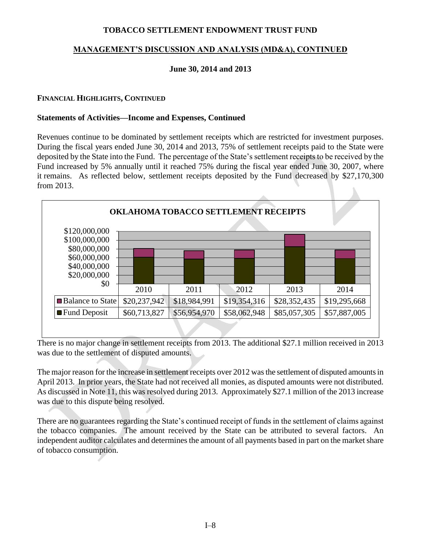# **MANAGEMENT'S DISCUSSION AND ANALYSIS (MD&A), CONTINUED**

### **June 30, 2014 and 2013**

#### **FINANCIAL HIGHLIGHTS, CONTINUED**

#### **Statements of Activities—Income and Expenses, Continued**

Revenues continue to be dominated by settlement receipts which are restricted for investment purposes. During the fiscal years ended June 30, 2014 and 2013, 75% of settlement receipts paid to the State were deposited by the State into the Fund. The percentage of the State's settlement receipts to be received by the Fund increased by 5% annually until it reached 75% during the fiscal year ended June 30, 2007, where it remains. As reflected below, settlement receipts deposited by the Fund decreased by \$27,170,300 from 2013.



There is no major change in settlement receipts from 2013. The additional \$27.1 million received in 2013 was due to the settlement of disputed amounts.

The major reason for the increase in settlement receipts over 2012 was the settlement of disputed amounts in April 2013. In prior years, the State had not received all monies, as disputed amounts were not distributed. As discussed in Note 11, this was resolved during 2013. Approximately \$27.1 million of the 2013 increase was due to this dispute being resolved.

There are no guarantees regarding the State's continued receipt of funds in the settlement of claims against the tobacco companies. The amount received by the State can be attributed to several factors. An independent auditor calculates and determines the amount of all payments based in part on the market share of tobacco consumption.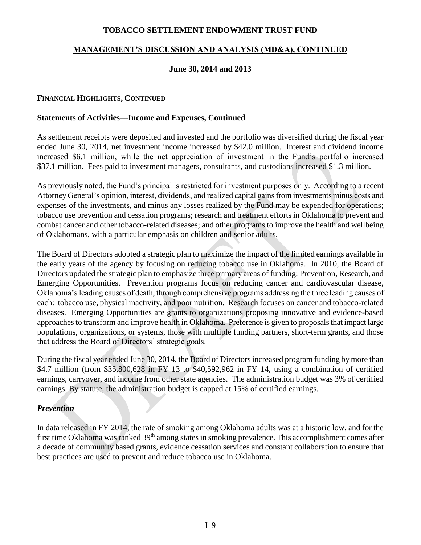### **MANAGEMENT'S DISCUSSION AND ANALYSIS (MD&A), CONTINUED**

### **June 30, 2014 and 2013**

#### **FINANCIAL HIGHLIGHTS, CONTINUED**

#### **Statements of Activities—Income and Expenses, Continued**

As settlement receipts were deposited and invested and the portfolio was diversified during the fiscal year ended June 30, 2014, net investment income increased by \$42.0 million. Interest and dividend income increased \$6.1 million, while the net appreciation of investment in the Fund's portfolio increased \$37.1 million. Fees paid to investment managers, consultants, and custodians increased \$1.3 million.

As previously noted, the Fund's principal is restricted for investment purposes only. According to a recent Attorney General's opinion, interest, dividends, and realized capital gains from investments minus costs and expenses of the investments, and minus any losses realized by the Fund may be expended for operations; tobacco use prevention and cessation programs; research and treatment efforts in Oklahoma to prevent and combat cancer and other tobacco-related diseases; and other programs to improve the health and wellbeing of Oklahomans, with a particular emphasis on children and senior adults.

The Board of Directors adopted a strategic plan to maximize the impact of the limited earnings available in the early years of the agency by focusing on reducing tobacco use in Oklahoma. In 2010, the Board of Directors updated the strategic plan to emphasize three primary areas of funding: Prevention, Research, and Emerging Opportunities. Prevention programs focus on reducing cancer and cardiovascular disease, Oklahoma's leading causes of death, through comprehensive programs addressing the three leading causes of each: tobacco use, physical inactivity, and poor nutrition. Research focuses on cancer and tobacco-related diseases. Emerging Opportunities are grants to organizations proposing innovative and evidence-based approaches to transform and improve health in Oklahoma. Preference is given to proposals that impact large populations, organizations, or systems, those with multiple funding partners, short-term grants, and those that address the Board of Directors' strategic goals.

During the fiscal year ended June 30, 2014, the Board of Directors increased program funding by more than \$4.7 million (from \$35,800,628 in FY 13 to \$40,592,962 in FY 14, using a combination of certified earnings, carryover, and income from other state agencies. The administration budget was 3% of certified earnings. By statute, the administration budget is capped at 15% of certified earnings.

#### *Prevention*

In data released in FY 2014, the rate of smoking among Oklahoma adults was at a historic low, and for the first time Oklahoma was ranked 39<sup>th</sup> among states in smoking prevalence. This accomplishment comes after a decade of community based grants, evidence cessation services and constant collaboration to ensure that best practices are used to prevent and reduce tobacco use in Oklahoma.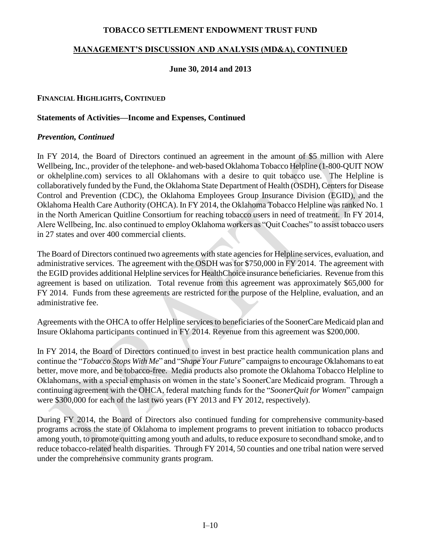### **MANAGEMENT'S DISCUSSION AND ANALYSIS (MD&A), CONTINUED**

#### **June 30, 2014 and 2013**

#### **FINANCIAL HIGHLIGHTS, CONTINUED**

#### **Statements of Activities—Income and Expenses, Continued**

#### *Prevention, Continued*

In FY 2014, the Board of Directors continued an agreement in the amount of \$5 million with Alere Wellbeing, Inc., provider of the telephone- and web-based Oklahoma Tobacco Helpline (1-800-QUIT NOW or okhelpline.com) services to all Oklahomans with a desire to quit tobacco use. The Helpline is collaboratively funded by the Fund, the Oklahoma State Department of Health (OSDH), Centers for Disease Control and Prevention (CDC), the Oklahoma Employees Group Insurance Division (EGID), and the Oklahoma Health Care Authority (OHCA). In FY 2014, the Oklahoma Tobacco Helpline was ranked No. 1 in the North American Quitline Consortium for reaching tobacco users in need of treatment. In FY 2014, Alere Wellbeing, Inc. also continued to employ Oklahoma workers as "Quit Coaches" to assist tobacco users in 27 states and over 400 commercial clients.

The Board of Directors continued two agreements with state agencies for Helpline services, evaluation, and administrative services. The agreement with the OSDH was for \$750,000 in FY 2014. The agreement with the EGID provides additional Helpline services for HealthChoice insurance beneficiaries. Revenue from this agreement is based on utilization. Total revenue from this agreement was approximately \$65,000 for FY 2014. Funds from these agreements are restricted for the purpose of the Helpline, evaluation, and an administrative fee.

Agreements with the OHCA to offer Helpline services to beneficiaries of the SoonerCare Medicaid plan and Insure Oklahoma participants continued in FY 2014. Revenue from this agreement was \$200,000.

In FY 2014, the Board of Directors continued to invest in best practice health communication plans and continue the "*Tobacco Stops With Me*" and "*Shape Your Future*" campaigns to encourage Oklahomans to eat better, move more, and be tobacco-free. Media products also promote the Oklahoma Tobacco Helpline to Oklahomans, with a special emphasis on women in the state's SoonerCare Medicaid program. Through a continuing agreement with the OHCA, federal matching funds for the "*SoonerQuit for Women*" campaign were \$300,000 for each of the last two years (FY 2013 and FY 2012, respectively).

During FY 2014, the Board of Directors also continued funding for comprehensive community-based programs across the state of Oklahoma to implement programs to prevent initiation to tobacco products among youth, to promote quitting among youth and adults, to reduce exposure to secondhand smoke, and to reduce tobacco-related health disparities. Through FY 2014, 50 counties and one tribal nation were served under the comprehensive community grants program.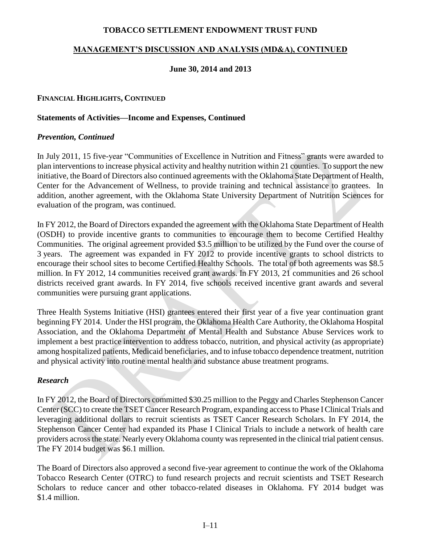### **MANAGEMENT'S DISCUSSION AND ANALYSIS (MD&A), CONTINUED**

### **June 30, 2014 and 2013**

#### **FINANCIAL HIGHLIGHTS, CONTINUED**

#### **Statements of Activities—Income and Expenses, Continued**

#### *Prevention, Continued*

In July 2011, 15 five-year "Communities of Excellence in Nutrition and Fitness" grants were awarded to plan interventions to increase physical activity and healthy nutrition within 21 counties. To support the new initiative, the Board of Directors also continued agreements with the Oklahoma State Department of Health, Center for the Advancement of Wellness, to provide training and technical assistance to grantees. In addition, another agreement, with the Oklahoma State University Department of Nutrition Sciences for evaluation of the program, was continued.

In FY 2012, the Board of Directors expanded the agreement with the Oklahoma State Department of Health (OSDH) to provide incentive grants to communities to encourage them to become Certified Healthy Communities. The original agreement provided \$3.5 million to be utilized by the Fund over the course of 3 years. The agreement was expanded in FY 2012 to provide incentive grants to school districts to encourage their school sites to become Certified Healthy Schools. The total of both agreements was \$8.5 million. In FY 2012, 14 communities received grant awards. In FY 2013, 21 communities and 26 school districts received grant awards. In FY 2014, five schools received incentive grant awards and several communities were pursuing grant applications.

Three Health Systems Initiative (HSI) grantees entered their first year of a five year continuation grant beginning FY 2014. Under the HSI program, the Oklahoma Health Care Authority, the Oklahoma Hospital Association, and the Oklahoma Department of Mental Health and Substance Abuse Services work to implement a best practice intervention to address tobacco, nutrition, and physical activity (as appropriate) among hospitalized patients, Medicaid beneficiaries, and to infuse tobacco dependence treatment, nutrition and physical activity into routine mental health and substance abuse treatment programs.

#### *Research*

In FY 2012, the Board of Directors committed \$30.25 million to the Peggy and Charles Stephenson Cancer Center (SCC) to create the TSET Cancer Research Program, expanding access to Phase I Clinical Trials and leveraging additional dollars to recruit scientists as TSET Cancer Research Scholars. In FY 2014, the Stephenson Cancer Center had expanded its Phase I Clinical Trials to include a network of health care providers across the state. Nearly every Oklahoma county was represented in the clinical trial patient census. The FY 2014 budget was \$6.1 million.

The Board of Directors also approved a second five-year agreement to continue the work of the Oklahoma Tobacco Research Center (OTRC) to fund research projects and recruit scientists and TSET Research Scholars to reduce cancer and other tobacco-related diseases in Oklahoma. FY 2014 budget was \$1.4 million.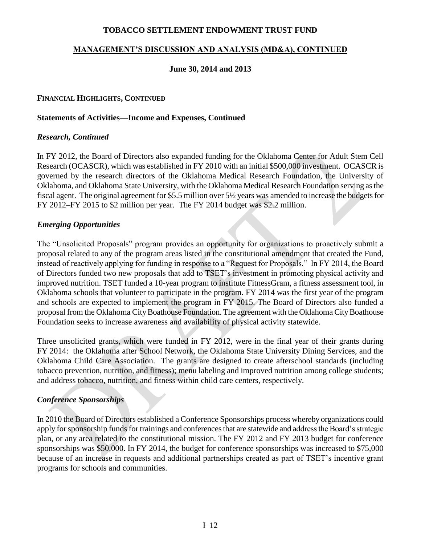### **MANAGEMENT'S DISCUSSION AND ANALYSIS (MD&A), CONTINUED**

#### **June 30, 2014 and 2013**

#### **FINANCIAL HIGHLIGHTS, CONTINUED**

#### **Statements of Activities—Income and Expenses, Continued**

#### *Research, Continued*

In FY 2012, the Board of Directors also expanded funding for the Oklahoma Center for Adult Stem Cell Research (OCASCR), which was established in FY 2010 with an initial \$500,000 investment. OCASCR is governed by the research directors of the Oklahoma Medical Research Foundation, the University of Oklahoma, and Oklahoma State University, with the Oklahoma Medical Research Foundation serving as the fiscal agent. The original agreement for \$5.5 million over 5½ years was amended to increase the budgets for FY 2012–FY 2015 to \$2 million per year. The FY 2014 budget was \$2.2 million.

#### *Emerging Opportunities*

The "Unsolicited Proposals" program provides an opportunity for organizations to proactively submit a proposal related to any of the program areas listed in the constitutional amendment that created the Fund, instead of reactively applying for funding in response to a "Request for Proposals." In FY 2014, the Board of Directors funded two new proposals that add to TSET's investment in promoting physical activity and improved nutrition. TSET funded a 10-year program to institute FitnessGram, a fitness assessment tool, in Oklahoma schools that volunteer to participate in the program. FY 2014 was the first year of the program and schools are expected to implement the program in FY 2015. The Board of Directors also funded a proposal from the Oklahoma City Boathouse Foundation. The agreement with the Oklahoma City Boathouse Foundation seeks to increase awareness and availability of physical activity statewide.

Three unsolicited grants, which were funded in FY 2012, were in the final year of their grants during FY 2014: the Oklahoma after School Network, the Oklahoma State University Dining Services, and the Oklahoma Child Care Association. The grants are designed to create afterschool standards (including tobacco prevention, nutrition, and fitness); menu labeling and improved nutrition among college students; and address tobacco, nutrition, and fitness within child care centers, respectively.

#### *Conference Sponsorships*

In 2010 the Board of Directors established a Conference Sponsorships process whereby organizations could apply for sponsorship funds for trainings and conferences that are statewide and address the Board's strategic plan, or any area related to the constitutional mission. The FY 2012 and FY 2013 budget for conference sponsorships was \$50,000. In FY 2014, the budget for conference sponsorships was increased to \$75,000 because of an increase in requests and additional partnerships created as part of TSET's incentive grant programs for schools and communities.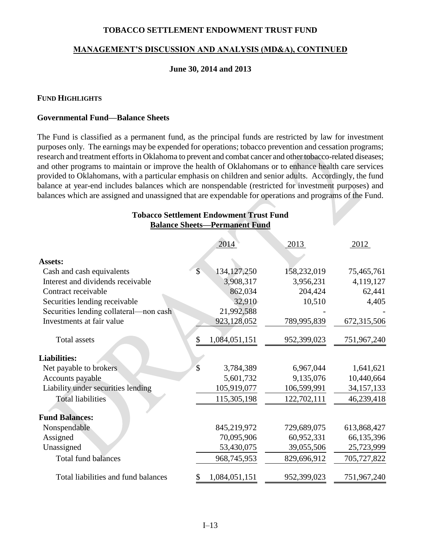#### **MANAGEMENT'S DISCUSSION AND ANALYSIS (MD&A), CONTINUED**

#### **June 30, 2014 and 2013**

#### **FUND HIGHLIGHTS**

#### **Governmental Fund—Balance Sheets**

The Fund is classified as a permanent fund, as the principal funds are restricted by law for investment purposes only. The earnings may be expended for operations; tobacco prevention and cessation programs; research and treatment efforts in Oklahoma to prevent and combat cancer and other tobacco-related diseases; and other programs to maintain or improve the health of Oklahomans or to enhance health care services provided to Oklahomans, with a particular emphasis on children and senior adults. Accordingly, the fund balance at year-end includes balances which are nonspendable (restricted for investment purposes) and balances which are assigned and unassigned that are expendable for operations and programs of the Fund.

**Tobacco Settlement Endowment Trust Fund**

| <b>Balance Sheets-Permanent Fund</b>   |               |               |             |              |
|----------------------------------------|---------------|---------------|-------------|--------------|
|                                        |               | 2014          | 2013        | 2012         |
| <b>Assets:</b>                         |               |               |             |              |
| Cash and cash equivalents              | $\mathcal{S}$ | 134, 127, 250 | 158,232,019 | 75,465,761   |
| Interest and dividends receivable      |               | 3,908,317     | 3,956,231   | 4,119,127    |
| Contract receivable                    |               | 862,034       | 204,424     | 62,441       |
| Securities lending receivable          |               | 32,910        | 10,510      | 4,405        |
| Securities lending collateral—non cash |               | 21,992,588    |             |              |
| Investments at fair value              |               | 923,128,052   | 789,995,839 | 672,315,506  |
| <b>Total assets</b>                    | \$            | 1,084,051,151 | 952,399,023 | 751,967,240  |
| <b>Liabilities:</b>                    |               |               |             |              |
| Net payable to brokers                 | $\mathcal{S}$ | 3,784,389     | 6,967,044   | 1,641,621    |
| Accounts payable                       |               | 5,601,732     | 9,135,076   | 10,440,664   |
| Liability under securities lending     |               | 105,919,077   | 106,599,991 | 34, 157, 133 |
| <b>Total liabilities</b>               |               | 115,305,198   | 122,702,111 | 46,239,418   |
| <b>Fund Balances:</b>                  |               |               |             |              |
| Nonspendable                           |               | 845,219,972   | 729,689,075 | 613,868,427  |
| Assigned                               |               | 70,095,906    | 60,952,331  | 66,135,396   |
| Unassigned                             |               | 53,430,075    | 39,055,506  | 25,723,999   |
| <b>Total fund balances</b>             |               | 968,745,953   | 829,696,912 | 705,727,822  |
| Total liabilities and fund balances    | \$            | 1,084,051,151 | 952,399,023 | 751,967,240  |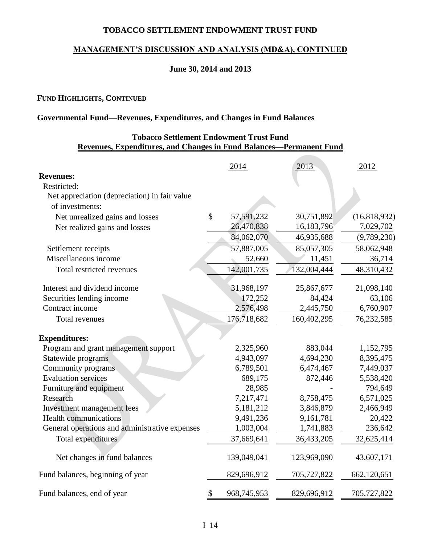### **MANAGEMENT'S DISCUSSION AND ANALYSIS (MD&A), CONTINUED**

### **June 30, 2014 and 2013**

#### **FUND HIGHLIGHTS, CONTINUED**

### **Governmental Fund—Revenues, Expenditures, and Changes in Fund Balances**

### **Tobacco Settlement Endowment Trust Fund Revenues, Expenditures, and Changes in Fund Balances—Permanent Fund**

|                                                | 2014              | 2013        | 2012           |
|------------------------------------------------|-------------------|-------------|----------------|
| <b>Revenues:</b>                               |                   |             |                |
| Restricted:                                    |                   |             |                |
| Net appreciation (depreciation) in fair value  |                   |             |                |
| of investments:                                |                   |             |                |
| Net unrealized gains and losses                | \$<br>57,591,232  | 30,751,892  | (16, 818, 932) |
| Net realized gains and losses                  | 26,470,838        | 16,183,796  | 7,029,702      |
|                                                | 84,062,070        | 46,935,688  | (9,789,230)    |
| Settlement receipts                            | 57,887,005        | 85,057,305  | 58,062,948     |
| Miscellaneous income                           | 52,660            | 11,451      | 36,714         |
| Total restricted revenues                      | 142,001,735       | 132,004,444 | 48,310,432     |
| Interest and dividend income                   | 31,968,197        | 25,867,677  | 21,098,140     |
| Securities lending income                      | 172,252           | 84,424      | 63,106         |
| Contract income                                | 2,576,498         | 2,445,750   | 6,760,907      |
| <b>Total revenues</b>                          | 176,718,682       | 160,402,295 | 76,232,585     |
| <b>Expenditures:</b>                           |                   |             |                |
| Program and grant management support           | 2,325,960         | 883,044     | 1,152,795      |
| Statewide programs                             | 4,943,097         | 4,694,230   | 8,395,475      |
| Community programs                             | 6,789,501         | 6,474,467   | 7,449,037      |
| <b>Evaluation services</b>                     | 689,175           | 872,446     | 5,538,420      |
| Furniture and equipment                        | 28,985            |             | 794,649        |
| Research                                       | 7,217,471         | 8,758,475   | 6,571,025      |
| Investment management fees                     | 5,181,212         | 3,846,879   | 2,466,949      |
| <b>Health communications</b>                   | 9,491,236         | 9,161,781   | 20,422         |
| General operations and administrative expenses | 1,003,004         | 1,741,883   | 236,642        |
| Total expenditures                             | 37,669,641        | 36,433,205  | 32,625,414     |
| Net changes in fund balances                   | 139,049,041       | 123,969,090 | 43,607,171     |
| Fund balances, beginning of year               | 829,696,912       | 705,727,822 | 662,120,651    |
| Fund balances, end of year                     | \$<br>968,745,953 | 829,696,912 | 705,727,822    |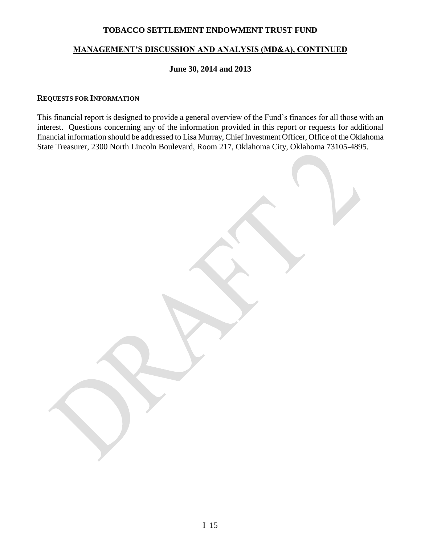### **MANAGEMENT'S DISCUSSION AND ANALYSIS (MD&A), CONTINUED**

#### **June 30, 2014 and 2013**

#### **REQUESTS FOR INFORMATION**

This financial report is designed to provide a general overview of the Fund's finances for all those with an interest. Questions concerning any of the information provided in this report or requests for additional financial information should be addressed to Lisa Murray, Chief Investment Officer, Office of the Oklahoma State Treasurer, 2300 North Lincoln Boulevard, Room 217, Oklahoma City, Oklahoma 73105-4895.

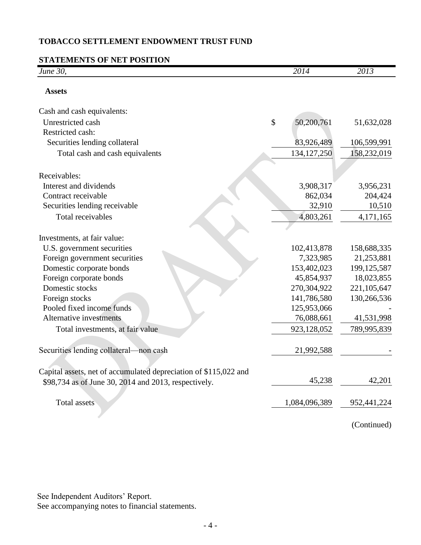# **STATEMENTS OF NET POSITION**

| June 30,                                                         | 2014             | 2013          |
|------------------------------------------------------------------|------------------|---------------|
| <b>Assets</b>                                                    |                  |               |
| Cash and cash equivalents:                                       |                  |               |
| Unrestricted cash                                                | \$<br>50,200,761 | 51,632,028    |
| Restricted cash:                                                 |                  |               |
| Securities lending collateral                                    | 83,926,489       | 106,599,991   |
| Total cash and cash equivalents                                  | 134, 127, 250    | 158,232,019   |
| Receivables:                                                     |                  |               |
| Interest and dividends                                           | 3,908,317        | 3,956,231     |
| Contract receivable                                              | 862,034          | 204,424       |
| Securities lending receivable                                    | 32,910           | 10,510        |
| Total receivables                                                | 4,803,261        | 4,171,165     |
| Investments, at fair value:                                      |                  |               |
| U.S. government securities                                       | 102,413,878      | 158,688,335   |
| Foreign government securities                                    | 7,323,985        | 21,253,881    |
| Domestic corporate bonds                                         | 153,402,023      | 199, 125, 587 |
| Foreign corporate bonds                                          | 45,854,937       | 18,023,855    |
| Domestic stocks                                                  | 270,304,922      | 221,105,647   |
| Foreign stocks                                                   | 141,786,580      | 130,266,536   |
| Pooled fixed income funds                                        | 125,953,066      |               |
| Alternative investments                                          | 76,088,661       | 41,531,998    |
| Total investments, at fair value                                 | 923,128,052      | 789,995,839   |
| Securities lending collateral—non cash                           | 21,992,588       |               |
| Capital assets, net of accumulated depreciation of \$115,022 and |                  |               |
| \$98,734 as of June 30, 2014 and 2013, respectively.             | 45,238           | 42,201        |
| Total assets                                                     | 1,084,096,389    | 952, 441, 224 |
|                                                                  |                  | (Continued)   |

See Independent Auditors' Report.

See accompanying notes to financial statements.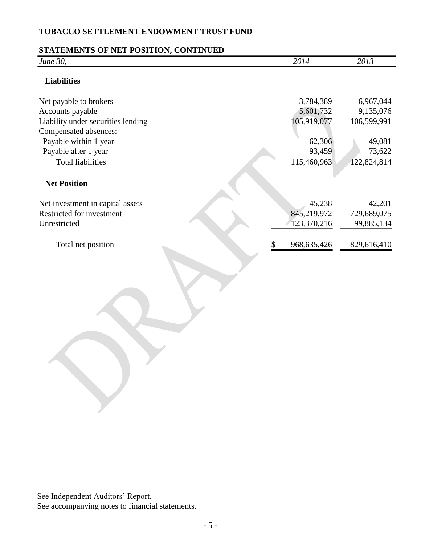# **STATEMENTS OF NET POSITION, CONTINUED**

| June 30,                           | 2014                | 2013        |
|------------------------------------|---------------------|-------------|
| <b>Liabilities</b>                 |                     |             |
| Net payable to brokers             | 3,784,389           | 6,967,044   |
| Accounts payable                   | 5,601,732           | 9,135,076   |
| Liability under securities lending | 105,919,077         | 106,599,991 |
| Compensated absences:              |                     |             |
| Payable within 1 year              | 62,306              | 49,081      |
| Payable after 1 year               | 93,459              | 73,622      |
| <b>Total liabilities</b>           | 115,460,963         | 122,824,814 |
|                                    |                     |             |
| <b>Net Position</b>                |                     |             |
| Net investment in capital assets   | 45,238              | 42,201      |
| Restricted for investment          | 845,219,972         | 729,689,075 |
| Unrestricted                       | 123,370,216         | 99,885,134  |
|                                    |                     |             |
| Total net position                 | \$<br>968, 635, 426 | 829,616,410 |
|                                    |                     |             |

See Independent Auditors' Report. See accompanying notes to financial statements.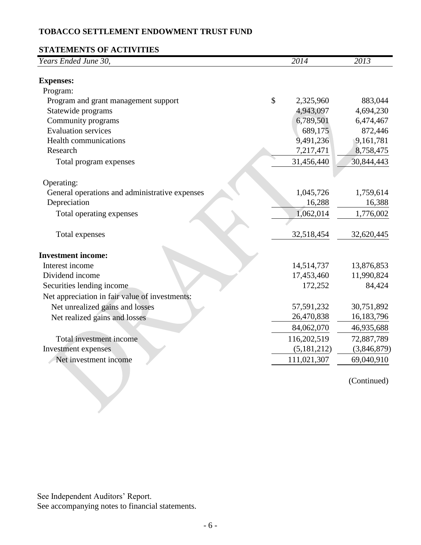# **STATEMENTS OF ACTIVITIES**

| Years Ended June 30,<br><b>Expenses:</b><br>Program:<br>\$<br>Program and grant management support<br>2,325,960<br>883,044<br>Statewide programs<br>4,943,097<br>4,694,230<br>Community programs<br>6,789,501<br>6,474,467<br><b>Evaluation services</b><br>689,175<br>872,446<br>9,491,236<br>9,161,781<br><b>Health communications</b> |
|------------------------------------------------------------------------------------------------------------------------------------------------------------------------------------------------------------------------------------------------------------------------------------------------------------------------------------------|
|                                                                                                                                                                                                                                                                                                                                          |
|                                                                                                                                                                                                                                                                                                                                          |
|                                                                                                                                                                                                                                                                                                                                          |
|                                                                                                                                                                                                                                                                                                                                          |
|                                                                                                                                                                                                                                                                                                                                          |
|                                                                                                                                                                                                                                                                                                                                          |
|                                                                                                                                                                                                                                                                                                                                          |
|                                                                                                                                                                                                                                                                                                                                          |
| Research<br>7,217,471<br>8,758,475                                                                                                                                                                                                                                                                                                       |
| 31,456,440<br>30,844,443<br>Total program expenses                                                                                                                                                                                                                                                                                       |
|                                                                                                                                                                                                                                                                                                                                          |
| Operating:                                                                                                                                                                                                                                                                                                                               |
| 1,045,726<br>General operations and administrative expenses<br>1,759,614                                                                                                                                                                                                                                                                 |
| Depreciation<br>16,288<br>16,388                                                                                                                                                                                                                                                                                                         |
| Total operating expenses<br>1,062,014<br>1,776,002                                                                                                                                                                                                                                                                                       |
|                                                                                                                                                                                                                                                                                                                                          |
| Total expenses<br>32,518,454<br>32,620,445                                                                                                                                                                                                                                                                                               |
|                                                                                                                                                                                                                                                                                                                                          |
| <b>Investment income:</b>                                                                                                                                                                                                                                                                                                                |
| Interest income<br>14,514,737<br>13,876,853                                                                                                                                                                                                                                                                                              |
| Dividend income<br>17,453,460<br>11,990,824                                                                                                                                                                                                                                                                                              |
| Securities lending income<br>172,252<br>84,424                                                                                                                                                                                                                                                                                           |
| Net appreciation in fair value of investments:                                                                                                                                                                                                                                                                                           |
| Net unrealized gains and losses<br>30,751,892<br>57,591,232                                                                                                                                                                                                                                                                              |
| 26,470,838<br>16, 183, 796<br>Net realized gains and losses                                                                                                                                                                                                                                                                              |
| 84,062,070<br>46,935,688                                                                                                                                                                                                                                                                                                                 |
| Total investment income<br>116,202,519<br>72,887,789                                                                                                                                                                                                                                                                                     |
| Investment expenses<br>(5, 181, 212)<br>(3,846,879)                                                                                                                                                                                                                                                                                      |
| Net investment income<br>111,021,307<br>69,040,910                                                                                                                                                                                                                                                                                       |
|                                                                                                                                                                                                                                                                                                                                          |
| (Continued)                                                                                                                                                                                                                                                                                                                              |
|                                                                                                                                                                                                                                                                                                                                          |
|                                                                                                                                                                                                                                                                                                                                          |

See Independent Auditors' Report.

See accompanying notes to financial statements.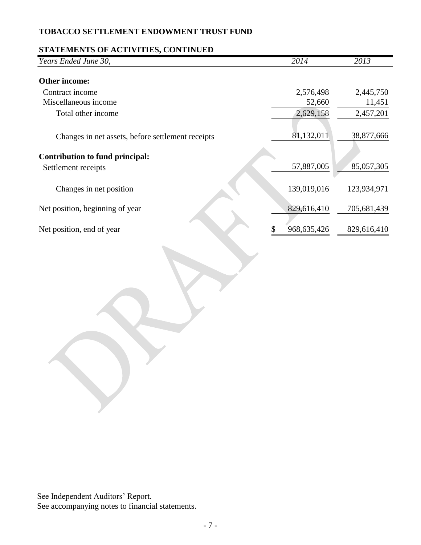### **STATEMENTS OF ACTIVITIES, CONTINUED**

| Years Ended June 30,                              | 2014          | 2013        |
|---------------------------------------------------|---------------|-------------|
| Other income:                                     |               |             |
| Contract income                                   | 2,576,498     | 2,445,750   |
| Miscellaneous income                              | 52,660        | 11,451      |
| Total other income                                | 2,629,158     | 2,457,201   |
| Changes in net assets, before settlement receipts | 81,132,011    | 38,877,666  |
| Contribution to fund principal:                   |               |             |
| Settlement receipts                               | 57,887,005    | 85,057,305  |
| Changes in net position                           | 139,019,016   | 123,934,971 |
| Net position, beginning of year                   | 829,616,410   | 705,681,439 |
| Net position, end of year                         | 968, 635, 426 | 829,616,410 |

See Independent Auditors' Report. See accompanying notes to financial statements.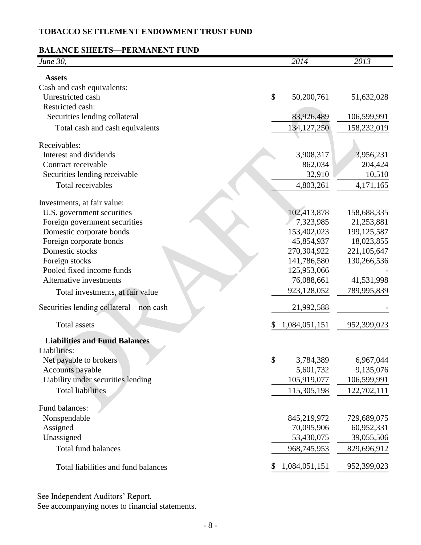### **BALANCE SHEETS—PERMANENT FUND**

| June 30,                                   |               | $\sqrt{2014}$             | 2013                      |
|--------------------------------------------|---------------|---------------------------|---------------------------|
| <b>Assets</b>                              |               |                           |                           |
| Cash and cash equivalents:                 |               |                           |                           |
| Unrestricted cash                          | \$            | 50,200,761                | 51,632,028                |
| Restricted cash:                           |               |                           |                           |
| Securities lending collateral              |               | 83,926,489                | 106,599,991               |
| Total cash and cash equivalents            |               | 134, 127, 250             | 158,232,019               |
| Receivables:                               |               |                           |                           |
| Interest and dividends                     |               | 3,908,317                 | 3,956,231                 |
| Contract receivable                        |               | 862,034                   | 204,424                   |
| Securities lending receivable              |               | 32,910                    | 10,510                    |
| Total receivables                          |               | 4,803,261                 | 4,171,165                 |
|                                            |               |                           |                           |
| Investments, at fair value:                |               |                           |                           |
| U.S. government securities                 |               | 102,413,878               | 158,688,335               |
| Foreign government securities              |               | 7,323,985                 | 21,253,881                |
| Domestic corporate bonds                   |               | 153,402,023               | 199, 125, 587             |
| Foreign corporate bonds<br>Domestic stocks |               | 45,854,937<br>270,304,922 | 18,023,855<br>221,105,647 |
| Foreign stocks                             |               | 141,786,580               | 130,266,536               |
| Pooled fixed income funds                  |               | 125,953,066               |                           |
| Alternative investments                    |               | 76,088,661                | 41,531,998                |
|                                            |               | 923,128,052               | 789,995,839               |
| Total investments, at fair value           |               |                           |                           |
| Securities lending collateral—non cash     |               | 21,992,588                |                           |
| <b>Total assets</b>                        |               | 1,084,051,151             | 952,399,023               |
| <b>Liabilities and Fund Balances</b>       |               |                           |                           |
| Liabilities:                               |               |                           |                           |
| Net payable to brokers                     | $\mathcal{S}$ | 3,784,389                 | 6,967,044                 |
| Accounts payable                           |               | 5,601,732                 | 9,135,076                 |
| Liability under securities lending         |               | 105,919,077               | 106,599,991               |
| <b>Total liabilities</b>                   |               | 115,305,198               | 122,702,111               |
| Fund balances:                             |               |                           |                           |
| Nonspendable                               |               | 845,219,972               | 729,689,075               |
| Assigned                                   |               | 70,095,906                | 60,952,331                |
| Unassigned                                 |               | 53,430,075                | 39,055,506                |
| <b>Total fund balances</b>                 |               | 968,745,953               | 829,696,912               |
| Total liabilities and fund balances        | \$            | 1,084,051,151             | 952,399,023               |

See Independent Auditors' Report.

See accompanying notes to financial statements.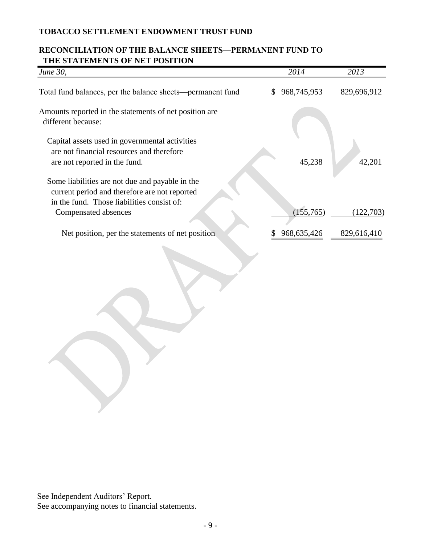# **RECONCILIATION OF THE BALANCE SHEETS—PERMANENT FUND TO THE STATEMENTS OF NET POSITION**

| June 30,                                                                                                                                       | 2014              | 2013        |
|------------------------------------------------------------------------------------------------------------------------------------------------|-------------------|-------------|
| Total fund balances, per the balance sheets—permanent fund                                                                                     | 968,745,953<br>S. | 829,696,912 |
| Amounts reported in the statements of net position are<br>different because:                                                                   |                   |             |
| Capital assets used in governmental activities                                                                                                 |                   |             |
| are not financial resources and therefore                                                                                                      |                   |             |
| are not reported in the fund.                                                                                                                  | 45,238            | 42,201      |
| Some liabilities are not due and payable in the<br>current period and therefore are not reported<br>in the fund. Those liabilities consist of: |                   |             |
| Compensated absences                                                                                                                           | (155,765)         | (122,703)   |
|                                                                                                                                                |                   |             |
| Net position, per the statements of net position                                                                                               | 968, 635, 426     | 829,616,410 |
|                                                                                                                                                |                   |             |

See Independent Auditors' Report. See accompanying notes to financial statements.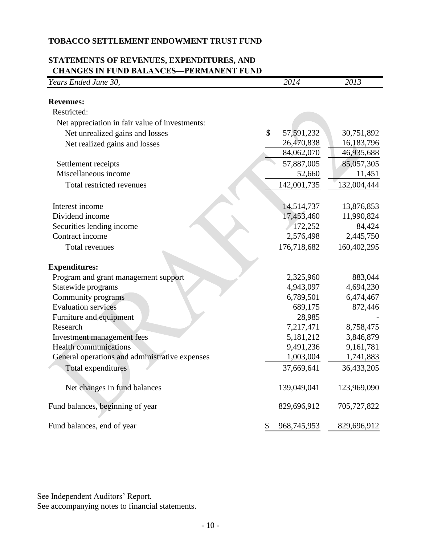# **STATEMENTS OF REVENUES, EXPENDITURES, AND CHANGES IN FUND BALANCES—PERMANENT FUND**

| Years Ended June 30,                           | 2014                       | 2013        |
|------------------------------------------------|----------------------------|-------------|
| <b>Revenues:</b>                               |                            |             |
| Restricted:                                    |                            |             |
| Net appreciation in fair value of investments: |                            |             |
| Net unrealized gains and losses                | $\mathbb{S}$<br>57,591,232 | 30,751,892  |
| Net realized gains and losses                  | 26,470,838                 | 16,183,796  |
|                                                | 84,062,070                 | 46,935,688  |
| Settlement receipts                            | 57,887,005                 | 85,057,305  |
| Miscellaneous income                           | 52,660                     | 11,451      |
| Total restricted revenues                      | 142,001,735                | 132,004,444 |
|                                                |                            |             |
| Interest income                                | 14,514,737                 | 13,876,853  |
| Dividend income                                | 17,453,460                 | 11,990,824  |
| Securities lending income                      | 172,252                    | 84,424      |
| Contract income                                | 2,576,498                  | 2,445,750   |
| Total revenues                                 | 176,718,682                | 160,402,295 |
| <b>Expenditures:</b>                           |                            |             |
| Program and grant management support           | 2,325,960                  | 883,044     |
| Statewide programs                             | 4,943,097                  | 4,694,230   |
| Community programs                             | 6,789,501                  | 6,474,467   |
| <b>Evaluation services</b>                     | 689,175                    | 872,446     |
| Furniture and equipment                        | 28,985                     |             |
| Research                                       | 7,217,471                  | 8,758,475   |
| Investment management fees                     | 5,181,212                  | 3,846,879   |
| <b>Health communications</b>                   | 9,491,236                  | 9,161,781   |
| General operations and administrative expenses | 1,003,004                  | 1,741,883   |
| Total expenditures                             | 37,669,641                 | 36,433,205  |
| Net changes in fund balances                   | 139,049,041                | 123,969,090 |
| Fund balances, beginning of year               | 829,696,912                | 705,727,822 |
| Fund balances, end of year                     | \$<br>968,745,953          | 829,696,912 |

See Independent Auditors' Report.

See accompanying notes to financial statements.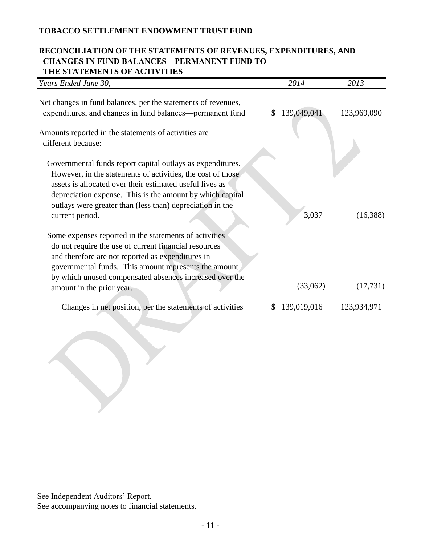# **RECONCILIATION OF THE STATEMENTS OF REVENUES, EXPENDITURES, AND CHANGES IN FUND BALANCES—PERMANENT FUND TO THE STATEMENTS OF ACTIVITIES**

| Years Ended June 30,                                                                                                                                                                                                                                                                                                               |               | 2014        | 2013        |
|------------------------------------------------------------------------------------------------------------------------------------------------------------------------------------------------------------------------------------------------------------------------------------------------------------------------------------|---------------|-------------|-------------|
| Net changes in fund balances, per the statements of revenues,<br>expenditures, and changes in fund balances—permanent fund                                                                                                                                                                                                         | <sup>\$</sup> | 139,049,041 | 123,969,090 |
| Amounts reported in the statements of activities are<br>different because:                                                                                                                                                                                                                                                         |               |             |             |
| Governmental funds report capital outlays as expenditures.<br>However, in the statements of activities, the cost of those<br>assets is allocated over their estimated useful lives as<br>depreciation expense. This is the amount by which capital<br>outlays were greater than (less than) depreciation in the<br>current period. |               | 3,037       | (16,388)    |
| Some expenses reported in the statements of activities<br>do not require the use of current financial resources<br>and therefore are not reported as expenditures in<br>governmental funds. This amount represents the amount<br>by which unused compensated absences increased over the                                           |               | (33,062)    | (17, 731)   |
| amount in the prior year.                                                                                                                                                                                                                                                                                                          |               |             |             |
| Changes in net position, per the statements of activities                                                                                                                                                                                                                                                                          |               | 139,019,016 | 123,934,971 |

See Independent Auditors' Report.

See accompanying notes to financial statements.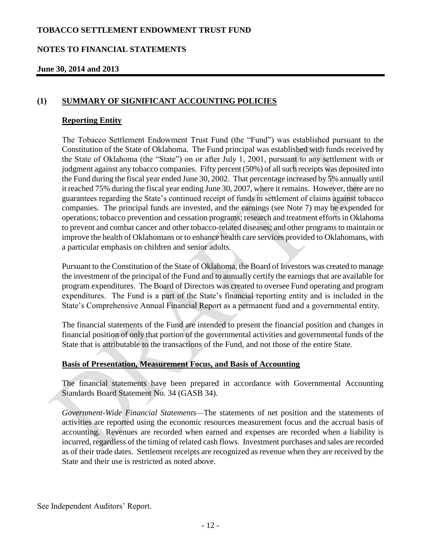#### **NOTES TO FINANCIAL STATEMENTS**

#### **June 30, 2014 and 2013**

#### **(1) SUMMARY OF SIGNIFICANT ACCOUNTING POLICIES**

#### **Reporting Entity**

The Tobacco Settlement Endowment Trust Fund (the "Fund") was established pursuant to the Constitution of the State of Oklahoma. The Fund principal was established with funds received by the State of Oklahoma (the "State") on or after July 1, 2001, pursuant to any settlement with or judgment against any tobacco companies. Fifty percent (50%) of all such receipts was deposited into the Fund during the fiscal year ended June 30, 2002. That percentage increased by 5% annually until it reached 75% during the fiscal year ending June 30, 2007, where it remains. However, there are no guarantees regarding the State's continued receipt of funds in settlement of claims against tobacco companies. The principal funds are invested, and the earnings (see Note 7) may be expended for operations; tobacco prevention and cessation programs; research and treatment efforts in Oklahoma to prevent and combat cancer and other tobacco-related diseases; and other programs to maintain or improve the health of Oklahomans or to enhance health care services provided to Oklahomans, with a particular emphasis on children and senior adults.

Pursuant to the Constitution of the State of Oklahoma, the Board of Investors was created to manage the investment of the principal of the Fund and to annually certify the earnings that are available for program expenditures. The Board of Directors was created to oversee Fund operating and program expenditures. The Fund is a part of the State's financial reporting entity and is included in the State's Comprehensive Annual Financial Report as a permanent fund and a governmental entity.

The financial statements of the Fund are intended to present the financial position and changes in financial position of only that portion of the governmental activities and governmental funds of the State that is attributable to the transactions of the Fund, and not those of the entire State.

#### **Basis of Presentation, Measurement Focus, and Basis of Accounting**

The financial statements have been prepared in accordance with Governmental Accounting Standards Board Statement No. 34 (GASB 34).

*Government-Wide Financial Statements—*The statements of net position and the statements of activities are reported using the economic resources measurement focus and the accrual basis of accounting. Revenues are recorded when earned and expenses are recorded when a liability is incurred, regardless of the timing of related cash flows. Investment purchases and sales are recorded as of their trade dates. Settlement receipts are recognized as revenue when they are received by the State and their use is restricted as noted above.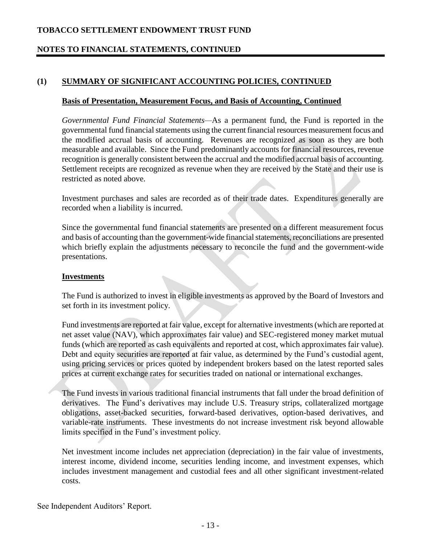# **NOTES TO FINANCIAL STATEMENTS, CONTINUED**

# **(1) SUMMARY OF SIGNIFICANT ACCOUNTING POLICIES, CONTINUED**

#### **Basis of Presentation, Measurement Focus, and Basis of Accounting, Continued**

*Governmental Fund Financial Statements—*As a permanent fund, the Fund is reported in the governmental fund financial statements using the current financial resources measurement focus and the modified accrual basis of accounting. Revenues are recognized as soon as they are both measurable and available. Since the Fund predominantly accounts for financial resources, revenue recognition is generally consistent between the accrual and the modified accrual basis of accounting. Settlement receipts are recognized as revenue when they are received by the State and their use is restricted as noted above.

Investment purchases and sales are recorded as of their trade dates. Expenditures generally are recorded when a liability is incurred.

Since the governmental fund financial statements are presented on a different measurement focus and basis of accounting than the government-wide financial statements, reconciliations are presented which briefly explain the adjustments necessary to reconcile the fund and the government-wide presentations.

#### **Investments**

The Fund is authorized to invest in eligible investments as approved by the Board of Investors and set forth in its investment policy.

Fund investments are reported at fair value, except for alternative investments (which are reported at net asset value (NAV), which approximates fair value) and SEC-registered money market mutual funds (which are reported as cash equivalents and reported at cost, which approximates fair value). Debt and equity securities are reported at fair value, as determined by the Fund's custodial agent, using pricing services or prices quoted by independent brokers based on the latest reported sales prices at current exchange rates for securities traded on national or international exchanges.

The Fund invests in various traditional financial instruments that fall under the broad definition of derivatives. The Fund's derivatives may include U.S. Treasury strips, collateralized mortgage obligations, asset-backed securities, forward-based derivatives, option-based derivatives, and variable-rate instruments. These investments do not increase investment risk beyond allowable limits specified in the Fund's investment policy.

Net investment income includes net appreciation (depreciation) in the fair value of investments, interest income, dividend income, securities lending income, and investment expenses, which includes investment management and custodial fees and all other significant investment-related costs.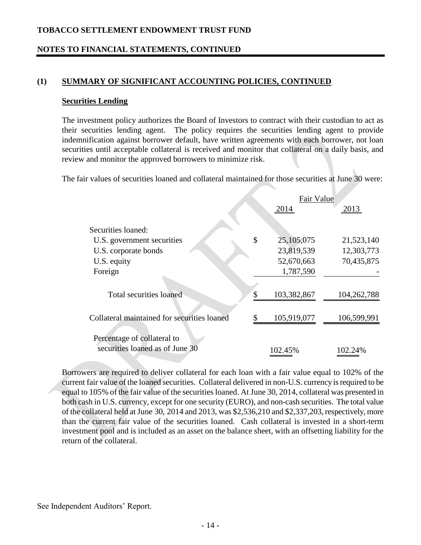### **NOTES TO FINANCIAL STATEMENTS, CONTINUED**

#### **(1) SUMMARY OF SIGNIFICANT ACCOUNTING POLICIES, CONTINUED**

#### **Securities Lending**

The investment policy authorizes the Board of Investors to contract with their custodian to act as their securities lending agent. The policy requires the securities lending agent to provide indemnification against borrower default, have written agreements with each borrower, not loan securities until acceptable collateral is received and monitor that collateral on a daily basis, and review and monitor the approved borrowers to minimize risk.

The fair values of securities loaned and collateral maintained for those securities at June 30 were:

|                                                                |               | Fair Value  |             |  |
|----------------------------------------------------------------|---------------|-------------|-------------|--|
|                                                                |               | 2014        | 2013        |  |
| Securities loaned:                                             |               |             |             |  |
| U.S. government securities                                     | $\mathcal{S}$ | 25,105,075  | 21,523,140  |  |
| U.S. corporate bonds                                           |               | 23,819,539  | 12,303,773  |  |
| U.S. equity                                                    |               | 52,670,663  | 70,435,875  |  |
| Foreign                                                        |               | 1,787,590   |             |  |
|                                                                |               |             |             |  |
| <b>Total securities loaned</b>                                 |               | 103,382,867 | 104,262,788 |  |
|                                                                |               |             |             |  |
| Collateral maintained for securities loaned                    |               | 105,919,077 | 106,599,991 |  |
| Percentage of collateral to<br>securities loaned as of June 30 |               | 102.45%     | 102.24%     |  |

Borrowers are required to deliver collateral for each loan with a fair value equal to 102% of the current fair value of the loaned securities. Collateral delivered in non-U.S. currency is required to be equal to 105% of the fair value of the securities loaned. At June 30, 2014, collateral was presented in both cash in U.S. currency, except for one security (EURO), and non-cash securities. The total value of the collateral held at June 30, 2014 and 2013, was \$2,536,210 and \$2,337,203, respectively, more than the current fair value of the securities loaned. Cash collateral is invested in a short-term investment pool and is included as an asset on the balance sheet, with an offsetting liability for the return of the collateral.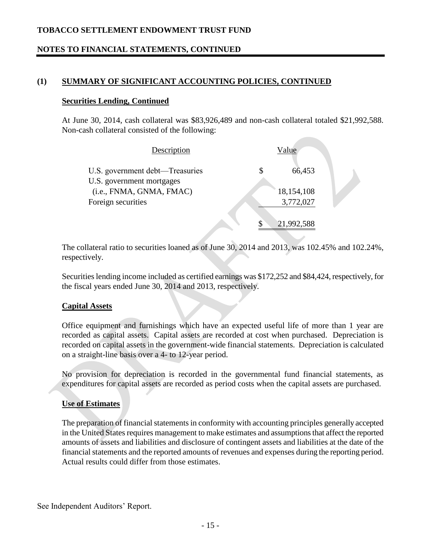# **NOTES TO FINANCIAL STATEMENTS, CONTINUED**

### **(1) SUMMARY OF SIGNIFICANT ACCOUNTING POLICIES, CONTINUED**

#### **Securities Lending, Continued**

At June 30, 2014, cash collateral was \$83,926,489 and non-cash collateral totaled \$21,992,588. Non-cash collateral consisted of the following:

| Description                                                  | Value             |  |
|--------------------------------------------------------------|-------------------|--|
| U.S. government debt—Treasuries<br>U.S. government mortgages | 66,453            |  |
| (i.e., FNMA, GNMA, FMAC)                                     | 18,154,108        |  |
| Foreign securities                                           | 3,772,027         |  |
|                                                              | \$.<br>21,992,588 |  |

The collateral ratio to securities loaned as of June 30, 2014 and 2013, was 102.45% and 102.24%, respectively.

Securities lending income included as certified earnings was \$172,252 and \$84,424, respectively, for the fiscal years ended June 30, 2014 and 2013, respectively.

#### **Capital Assets**

Office equipment and furnishings which have an expected useful life of more than 1 year are recorded as capital assets. Capital assets are recorded at cost when purchased. Depreciation is recorded on capital assets in the government-wide financial statements. Depreciation is calculated on a straight-line basis over a 4- to 12-year period.

No provision for depreciation is recorded in the governmental fund financial statements, as expenditures for capital assets are recorded as period costs when the capital assets are purchased.

#### **Use of Estimates**

The preparation of financial statements in conformity with accounting principles generally accepted in the United States requires management to make estimates and assumptions that affect the reported amounts of assets and liabilities and disclosure of contingent assets and liabilities at the date of the financial statements and the reported amounts of revenues and expenses during the reporting period. Actual results could differ from those estimates.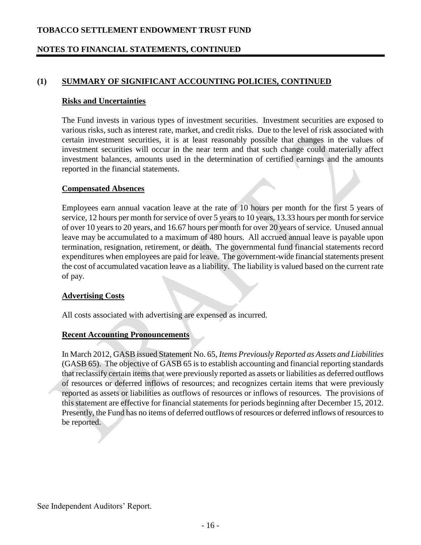### **NOTES TO FINANCIAL STATEMENTS, CONTINUED**

### **(1) SUMMARY OF SIGNIFICANT ACCOUNTING POLICIES, CONTINUED**

#### **Risks and Uncertainties**

The Fund invests in various types of investment securities. Investment securities are exposed to various risks, such as interest rate, market, and credit risks. Due to the level of risk associated with certain investment securities, it is at least reasonably possible that changes in the values of investment securities will occur in the near term and that such change could materially affect investment balances, amounts used in the determination of certified earnings and the amounts reported in the financial statements.

#### **Compensated Absences**

Employees earn annual vacation leave at the rate of 10 hours per month for the first 5 years of service, 12 hours per month for service of over 5 years to 10 years, 13.33 hours per month for service of over 10 years to 20 years, and 16.67 hours per month for over 20 years of service. Unused annual leave may be accumulated to a maximum of 480 hours. All accrued annual leave is payable upon termination, resignation, retirement, or death. The governmental fund financial statements record expenditures when employees are paid for leave. The government-wide financial statements present the cost of accumulated vacation leave as a liability. The liability is valued based on the current rate of pay.

#### **Advertising Costs**

All costs associated with advertising are expensed as incurred.

#### **Recent Accounting Pronouncements**

In March 2012, GASB issued Statement No. 65*, Items Previously Reported as Assets and Liabilities*  (GASB 65). The objective of GASB 65 is to establish accounting and financial reporting standards that reclassify certain items that were previously reported as assets or liabilities as deferred outflows of resources or deferred inflows of resources; and recognizes certain items that were previously reported as assets or liabilities as outflows of resources or inflows of resources. The provisions of this statement are effective for financial statements for periods beginning after December 15, 2012. Presently, the Fund has no items of deferred outflows of resources or deferred inflows of resources to be reported.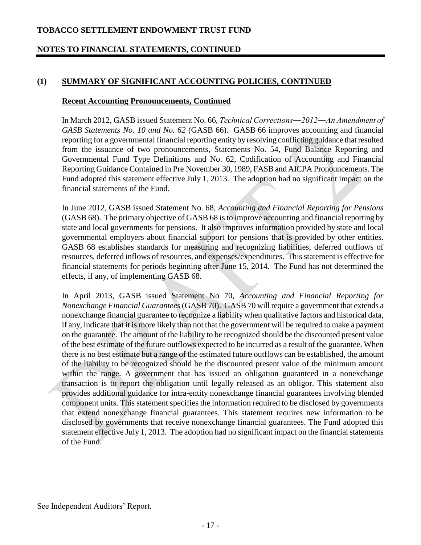### **NOTES TO FINANCIAL STATEMENTS, CONTINUED**

### **(1) SUMMARY OF SIGNIFICANT ACCOUNTING POLICIES, CONTINUED**

#### **Recent Accounting Pronouncements, Continued**

In March 2012, GASB issued Statement No. 66, *Technical Corrections―2012―An Amendment of GASB Statements No. 10 and No. 62* (GASB 66). GASB 66 improves accounting and financial reporting for a governmental financial reporting entity by resolving conflicting guidance that resulted from the issuance of two pronouncements, Statements No. 54, Fund Balance Reporting and Governmental Fund Type Definitions and No. 62, Codification of Accounting and Financial Reporting Guidance Contained in Pre November 30, 1989, FASB and AICPA Pronouncements. The Fund adopted this statement effective July 1, 2013. The adoption had no significant impact on the financial statements of the Fund.

In June 2012, GASB issued Statement No. 68, *Accounting and Financial Reporting for Pensions* (GASB 68). The primary objective of GASB 68 is to improve accounting and financial reporting by state and local governments for pensions. It also improves information provided by state and local governmental employers about financial support for pensions that is provided by other entities. GASB 68 establishes standards for measuring and recognizing liabilities, deferred outflows of resources, deferred inflows of resources, and expenses/expenditures. This statement is effective for financial statements for periods beginning after June 15, 2014. The Fund has not determined the effects, if any, of implementing GASB 68.

In April 2013, GASB issued Statement No 70, *Accounting and Financial Reporting for Nonexchange Financial Guarantees* (GASB 70). GASB 70 will require a government that extends a nonexchange financial guarantee to recognize a liability when qualitative factors and historical data, if any, indicate that it is more likely than not that the government will be required to make a payment on the guarantee. The amount of the liability to be recognized should be the discounted present value of the best estimate of the future outflows expected to be incurred as a result of the guarantee. When there is no best estimate but a range of the estimated future outflows can be established, the amount of the liability to be recognized should be the discounted present value of the minimum amount within the range. A government that has issued an obligation guaranteed in a nonexchange transaction is to report the obligation until legally released as an obligor. This statement also provides additional guidance for intra-entity nonexchange financial guarantees involving blended component units. This statement specifies the information required to be disclosed by governments that extend nonexchange financial guarantees. This statement requires new information to be disclosed by governments that receive nonexchange financial guarantees. The Fund adopted this statement effective July 1, 2013. The adoption had no significant impact on the financial statements of the Fund.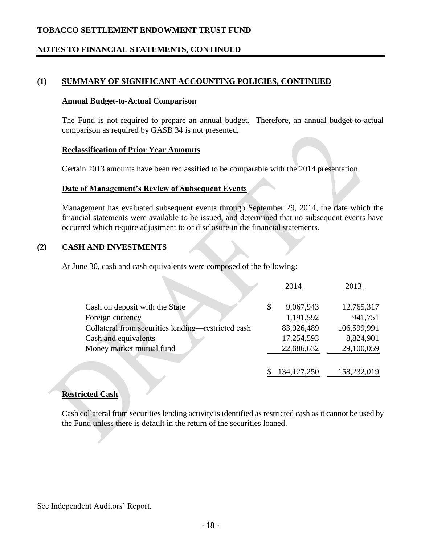### **NOTES TO FINANCIAL STATEMENTS, CONTINUED**

### **(1) SUMMARY OF SIGNIFICANT ACCOUNTING POLICIES, CONTINUED**

#### **Annual Budget-to-Actual Comparison**

The Fund is not required to prepare an annual budget. Therefore, an annual budget-to-actual comparison as required by GASB 34 is not presented.

#### **Reclassification of Prior Year Amounts**

Certain 2013 amounts have been reclassified to be comparable with the 2014 presentation.

#### **Date of Management's Review of Subsequent Events**

Management has evaluated subsequent events through September 29, 2014, the date which the financial statements were available to be issued, and determined that no subsequent events have occurred which require adjustment to or disclosure in the financial statements.

#### **(2) CASH AND INVESTMENTS**

At June 30, cash and cash equivalents were composed of the following:

|                                                    | 2014          | 2013        |
|----------------------------------------------------|---------------|-------------|
|                                                    | 9,067,943     | 12,765,317  |
| Cash on deposit with the State                     | \$            |             |
| Foreign currency                                   | 1,191,592     | 941,751     |
| Collateral from securities lending—restricted cash | 83,926,489    | 106,599,991 |
| Cash and equivalents                               | 17,254,593    | 8,824,901   |
| Money market mutual fund                           | 22,686,632    | 29,100,059  |
|                                                    | 134, 127, 250 | 158,232,019 |

#### **Restricted Cash**

Cash collateral from securities lending activity is identified as restricted cash as it cannot be used by the Fund unless there is default in the return of the securities loaned.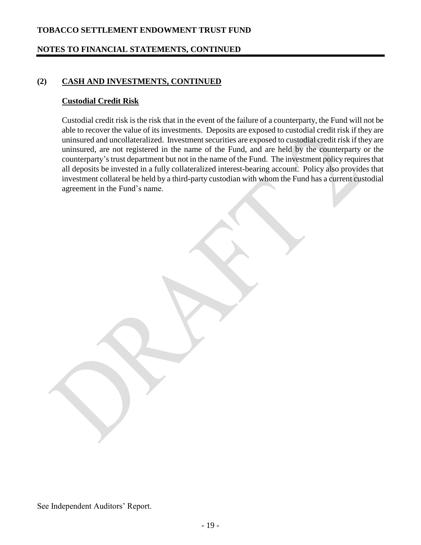### **NOTES TO FINANCIAL STATEMENTS, CONTINUED**

### **(2) CASH AND INVESTMENTS, CONTINUED**

#### **Custodial Credit Risk**

Custodial credit risk is the risk that in the event of the failure of a counterparty, the Fund will not be able to recover the value of its investments. Deposits are exposed to custodial credit risk if they are uninsured and uncollateralized. Investment securities are exposed to custodial credit risk if they are uninsured, are not registered in the name of the Fund, and are held by the counterparty or the counterparty's trust department but not in the name of the Fund. The investment policy requires that all deposits be invested in a fully collateralized interest-bearing account. Policy also provides that investment collateral be held by a third-party custodian with whom the Fund has a current custodial agreement in the Fund's name.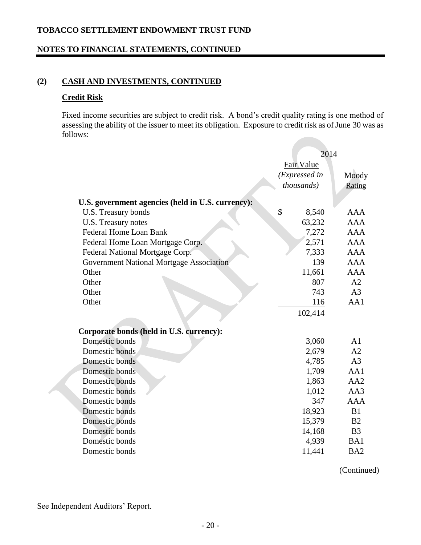# **NOTES TO FINANCIAL STATEMENTS, CONTINUED**

### **(2) CASH AND INVESTMENTS, CONTINUED**

#### **Credit Risk**

Fixed income securities are subject to credit risk. A bond's credit quality rating is one method of assessing the ability of the issuer to meet its obligation. Exposure to credit risk as of June 30 was as follows:

| Fair Value<br>(Expressed in<br>Moody<br>thousands)<br>Rating<br>U.S. government agencies (held in U.S. currency):<br>\$<br>U.S. Treasury bonds<br>8,540<br><b>AAA</b><br><b>AAA</b><br>U.S. Treasury notes<br>63,232<br><b>Federal Home Loan Bank</b><br>7,272<br><b>AAA</b><br>2,571<br><b>AAA</b><br>Federal Home Loan Mortgage Corp.<br>7,333<br>Federal National Mortgage Corp.<br><b>AAA</b><br><b>AAA</b><br><b>Government National Mortgage Association</b><br>139<br>Other<br>11,661<br><b>AAA</b><br>A2<br>Other<br>807<br>A <sub>3</sub><br>Other<br>743<br>AA1<br>Other<br>116<br>102,414<br>Corporate bonds (held in U.S. currency):<br>Domestic bonds<br>3,060<br>A <sub>1</sub><br>Domestic bonds<br>2,679<br>A2<br>Domestic bonds<br>A <sub>3</sub><br>4,785<br>Domestic bonds<br>1,709<br>AA1<br>Domestic bonds<br>AA2<br>1,863<br>Domestic bonds<br>1,012<br>AA3<br>347<br><b>AAA</b><br>Domestic bonds<br>Domestic bonds<br>18,923<br>B1<br>Domestic bonds<br>15,379<br>B <sub>2</sub><br>Domestic bonds<br>14,168<br>B <sub>3</sub><br>Domestic bonds<br>BA1<br>4,939 |  | 2014 |  |
|------------------------------------------------------------------------------------------------------------------------------------------------------------------------------------------------------------------------------------------------------------------------------------------------------------------------------------------------------------------------------------------------------------------------------------------------------------------------------------------------------------------------------------------------------------------------------------------------------------------------------------------------------------------------------------------------------------------------------------------------------------------------------------------------------------------------------------------------------------------------------------------------------------------------------------------------------------------------------------------------------------------------------------------------------------------------------------------|--|------|--|
|                                                                                                                                                                                                                                                                                                                                                                                                                                                                                                                                                                                                                                                                                                                                                                                                                                                                                                                                                                                                                                                                                          |  |      |  |
|                                                                                                                                                                                                                                                                                                                                                                                                                                                                                                                                                                                                                                                                                                                                                                                                                                                                                                                                                                                                                                                                                          |  |      |  |
|                                                                                                                                                                                                                                                                                                                                                                                                                                                                                                                                                                                                                                                                                                                                                                                                                                                                                                                                                                                                                                                                                          |  |      |  |
|                                                                                                                                                                                                                                                                                                                                                                                                                                                                                                                                                                                                                                                                                                                                                                                                                                                                                                                                                                                                                                                                                          |  |      |  |
|                                                                                                                                                                                                                                                                                                                                                                                                                                                                                                                                                                                                                                                                                                                                                                                                                                                                                                                                                                                                                                                                                          |  |      |  |
|                                                                                                                                                                                                                                                                                                                                                                                                                                                                                                                                                                                                                                                                                                                                                                                                                                                                                                                                                                                                                                                                                          |  |      |  |
|                                                                                                                                                                                                                                                                                                                                                                                                                                                                                                                                                                                                                                                                                                                                                                                                                                                                                                                                                                                                                                                                                          |  |      |  |
|                                                                                                                                                                                                                                                                                                                                                                                                                                                                                                                                                                                                                                                                                                                                                                                                                                                                                                                                                                                                                                                                                          |  |      |  |
|                                                                                                                                                                                                                                                                                                                                                                                                                                                                                                                                                                                                                                                                                                                                                                                                                                                                                                                                                                                                                                                                                          |  |      |  |
|                                                                                                                                                                                                                                                                                                                                                                                                                                                                                                                                                                                                                                                                                                                                                                                                                                                                                                                                                                                                                                                                                          |  |      |  |
|                                                                                                                                                                                                                                                                                                                                                                                                                                                                                                                                                                                                                                                                                                                                                                                                                                                                                                                                                                                                                                                                                          |  |      |  |
|                                                                                                                                                                                                                                                                                                                                                                                                                                                                                                                                                                                                                                                                                                                                                                                                                                                                                                                                                                                                                                                                                          |  |      |  |
|                                                                                                                                                                                                                                                                                                                                                                                                                                                                                                                                                                                                                                                                                                                                                                                                                                                                                                                                                                                                                                                                                          |  |      |  |
|                                                                                                                                                                                                                                                                                                                                                                                                                                                                                                                                                                                                                                                                                                                                                                                                                                                                                                                                                                                                                                                                                          |  |      |  |
|                                                                                                                                                                                                                                                                                                                                                                                                                                                                                                                                                                                                                                                                                                                                                                                                                                                                                                                                                                                                                                                                                          |  |      |  |
|                                                                                                                                                                                                                                                                                                                                                                                                                                                                                                                                                                                                                                                                                                                                                                                                                                                                                                                                                                                                                                                                                          |  |      |  |
|                                                                                                                                                                                                                                                                                                                                                                                                                                                                                                                                                                                                                                                                                                                                                                                                                                                                                                                                                                                                                                                                                          |  |      |  |
|                                                                                                                                                                                                                                                                                                                                                                                                                                                                                                                                                                                                                                                                                                                                                                                                                                                                                                                                                                                                                                                                                          |  |      |  |
|                                                                                                                                                                                                                                                                                                                                                                                                                                                                                                                                                                                                                                                                                                                                                                                                                                                                                                                                                                                                                                                                                          |  |      |  |
|                                                                                                                                                                                                                                                                                                                                                                                                                                                                                                                                                                                                                                                                                                                                                                                                                                                                                                                                                                                                                                                                                          |  |      |  |
|                                                                                                                                                                                                                                                                                                                                                                                                                                                                                                                                                                                                                                                                                                                                                                                                                                                                                                                                                                                                                                                                                          |  |      |  |
|                                                                                                                                                                                                                                                                                                                                                                                                                                                                                                                                                                                                                                                                                                                                                                                                                                                                                                                                                                                                                                                                                          |  |      |  |
|                                                                                                                                                                                                                                                                                                                                                                                                                                                                                                                                                                                                                                                                                                                                                                                                                                                                                                                                                                                                                                                                                          |  |      |  |
|                                                                                                                                                                                                                                                                                                                                                                                                                                                                                                                                                                                                                                                                                                                                                                                                                                                                                                                                                                                                                                                                                          |  |      |  |
|                                                                                                                                                                                                                                                                                                                                                                                                                                                                                                                                                                                                                                                                                                                                                                                                                                                                                                                                                                                                                                                                                          |  |      |  |
|                                                                                                                                                                                                                                                                                                                                                                                                                                                                                                                                                                                                                                                                                                                                                                                                                                                                                                                                                                                                                                                                                          |  |      |  |
|                                                                                                                                                                                                                                                                                                                                                                                                                                                                                                                                                                                                                                                                                                                                                                                                                                                                                                                                                                                                                                                                                          |  |      |  |
|                                                                                                                                                                                                                                                                                                                                                                                                                                                                                                                                                                                                                                                                                                                                                                                                                                                                                                                                                                                                                                                                                          |  |      |  |
|                                                                                                                                                                                                                                                                                                                                                                                                                                                                                                                                                                                                                                                                                                                                                                                                                                                                                                                                                                                                                                                                                          |  |      |  |
| 11,441<br>BA <sub>2</sub><br>Domestic bonds                                                                                                                                                                                                                                                                                                                                                                                                                                                                                                                                                                                                                                                                                                                                                                                                                                                                                                                                                                                                                                              |  |      |  |

(Continued)

See Independent Auditors' Report.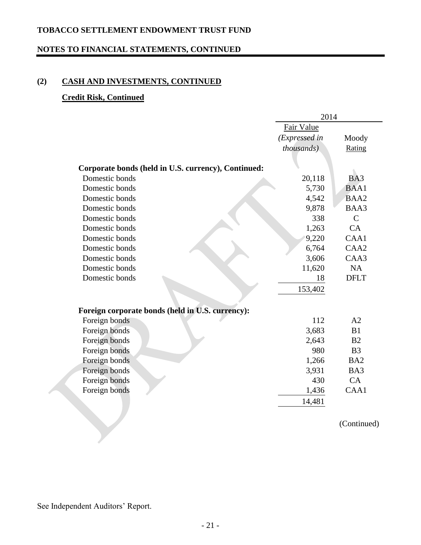### **NOTES TO FINANCIAL STATEMENTS, CONTINUED**

# **(2) CASH AND INVESTMENTS, CONTINUED**

#### **Credit Risk, Continued**

|                                                     | 2014          |                  |  |
|-----------------------------------------------------|---------------|------------------|--|
|                                                     | Fair Value    |                  |  |
|                                                     | (Expressed in | Moody            |  |
|                                                     | thousands).   | Rating           |  |
|                                                     |               |                  |  |
| Corporate bonds (held in U.S. currency), Continued: |               |                  |  |
| Domestic bonds                                      | 20,118        | BA3              |  |
| Domestic bonds                                      | 5,730         | <b>BAA1</b>      |  |
| Domestic bonds                                      | 4,542         | BAA2             |  |
| Domestic bonds                                      | 9,878         | BAA3             |  |
| Domestic bonds                                      | 338           | $\mathcal{C}$    |  |
| Domestic bonds                                      | 1,263         | CA               |  |
| Domestic bonds                                      | 9,220         | CAA1             |  |
| Domestic bonds                                      | 6,764         | CAA <sub>2</sub> |  |
| Domestic bonds                                      | 3,606         | CAA3             |  |
| Domestic bonds                                      | 11,620        | <b>NA</b>        |  |
| Domestic bonds                                      | 18            | <b>DFLT</b>      |  |
|                                                     | 153,402       |                  |  |
|                                                     |               |                  |  |
| Foreign corporate bonds (held in U.S. currency):    |               |                  |  |
| Foreign bonds                                       | 112           | A2               |  |
| Foreign bonds                                       | 3,683         | B1               |  |
| Foreign bonds                                       | 2,643         | B <sub>2</sub>   |  |
| Foreign bonds                                       | 980           | B <sub>3</sub>   |  |
| Foreign bonds                                       | 1,266         | BA <sub>2</sub>  |  |
| Foreign bonds                                       | 3,931         | BA3              |  |
| Foreign bonds                                       | 430           | CA               |  |
| Foreign bonds                                       | 1,436         | CAA1             |  |
|                                                     | 14,481        |                  |  |
|                                                     |               |                  |  |

(Continued)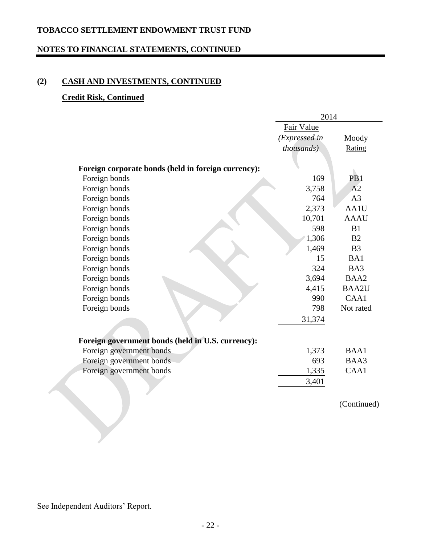### **NOTES TO FINANCIAL STATEMENTS, CONTINUED**

# **(2) CASH AND INVESTMENTS, CONTINUED**

#### **Credit Risk, Continued**

|                                                     | 2014          |                 |
|-----------------------------------------------------|---------------|-----------------|
|                                                     | Fair Value    |                 |
|                                                     | (Expressed in | Moody           |
|                                                     | thousands)    | Rating          |
|                                                     |               |                 |
| Foreign corporate bonds (held in foreign currency): |               |                 |
| Foreign bonds                                       | 169           | PB <sub>1</sub> |
| Foreign bonds                                       | 3,758         | A2              |
| Foreign bonds                                       | 764           | A3              |
| Foreign bonds                                       | 2,373         | AA1U            |
| Foreign bonds                                       | 10,701        | <b>AAAU</b>     |
| Foreign bonds                                       | 598           | B1              |
| Foreign bonds                                       | 1,306         | B <sub>2</sub>  |
| Foreign bonds                                       | 1,469         | B <sub>3</sub>  |
| Foreign bonds                                       | 15            | BA1             |
| Foreign bonds                                       | 324           | BA3             |
| Foreign bonds                                       | 3,694         | BAA2            |
| Foreign bonds                                       | 4,415         | <b>BAA2U</b>    |
| Foreign bonds                                       | 990           | CAA1            |
| Foreign bonds                                       | 798           | Not rated       |
|                                                     | 31,374        |                 |
| Foreign government bonds (held in U.S. currency):   |               |                 |
| Foreign government bonds                            | 1,373         | <b>BAA1</b>     |
| Foreign government bonds                            | 693           | BAA3            |
| Foreign government bonds                            | 1,335         | CAA1            |
|                                                     |               |                 |
|                                                     | 3,401         |                 |
|                                                     |               | (Continued)     |
|                                                     |               |                 |
|                                                     |               |                 |
|                                                     |               |                 |
|                                                     |               |                 |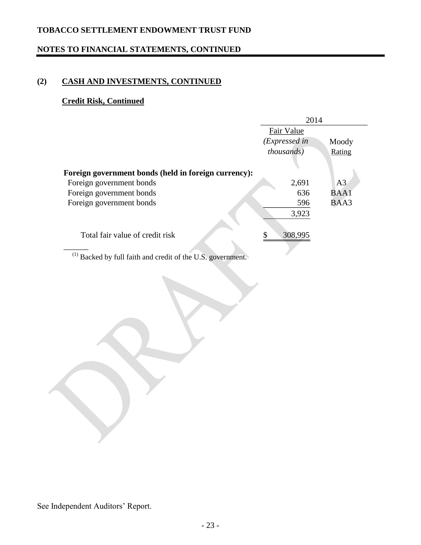# **NOTES TO FINANCIAL STATEMENTS, CONTINUED**

# **(2) CASH AND INVESTMENTS, CONTINUED**

# **Credit Risk, Continued**

|                                                      | 2014               |             |
|------------------------------------------------------|--------------------|-------------|
|                                                      | Fair Value         |             |
|                                                      | (Expressed in      | Moody       |
|                                                      | <i>thousands</i> ) | Rating      |
|                                                      |                    |             |
| Foreign government bonds (held in foreign currency): |                    |             |
| Foreign government bonds                             | 2,691              | A3          |
| Foreign government bonds                             | 636                | <b>BAA1</b> |
| Foreign government bonds                             | 596                | BAA3        |
|                                                      | 3,923              |             |
| Total fair value of credit risk                      | 308,995<br>\$      |             |

 $(1)$  Backed by full faith and credit of the U.S. government.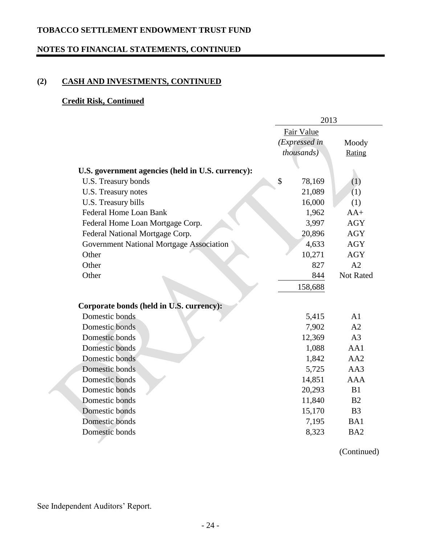### **NOTES TO FINANCIAL STATEMENTS, CONTINUED**

# **(2) CASH AND INVESTMENTS, CONTINUED**

### **Credit Risk, Continued**

|                                                   | 2013               |                 |
|---------------------------------------------------|--------------------|-----------------|
|                                                   | Fair Value         |                 |
|                                                   | (Expressed in      | Moody           |
|                                                   | <i>thousands</i> ) | Rating          |
|                                                   |                    |                 |
| U.S. government agencies (held in U.S. currency): | \$                 |                 |
| U.S. Treasury bonds                               | 78,169             | (1)             |
| U.S. Treasury notes                               | 21,089             | (1)             |
| U.S. Treasury bills                               | 16,000             | (1)             |
| <b>Federal Home Loan Bank</b>                     | 1,962              | $AA+$           |
| Federal Home Loan Mortgage Corp.                  | 3,997              | <b>AGY</b>      |
| Federal National Mortgage Corp.                   | 20,896             | <b>AGY</b>      |
| Government National Mortgage Association          | 4,633              | <b>AGY</b>      |
| Other                                             | 10,271             | <b>AGY</b>      |
| Other                                             | 827                | A2              |
| Other                                             | 844                | Not Rated       |
|                                                   | 158,688            |                 |
| Corporate bonds (held in U.S. currency):          |                    |                 |
| Domestic bonds                                    | 5,415              | A1              |
| Domestic bonds                                    | 7,902              | A2              |
| Domestic bonds                                    | 12,369             | A <sub>3</sub>  |
| Domestic bonds                                    | 1,088              | AA1             |
| Domestic bonds                                    | 1,842              | AA2             |
| Domestic bonds                                    | 5,725              | AA3             |
| Domestic bonds                                    | 14,851             | <b>AAA</b>      |
| Domestic bonds                                    | 20,293             | B1              |
| Domestic bonds                                    | 11,840             | B <sub>2</sub>  |
| Domestic bonds                                    | 15,170             | B <sub>3</sub>  |
| Domestic bonds                                    | 7,195              | BA1             |
| Domestic bonds                                    | 8,323              | BA <sub>2</sub> |

(Continued)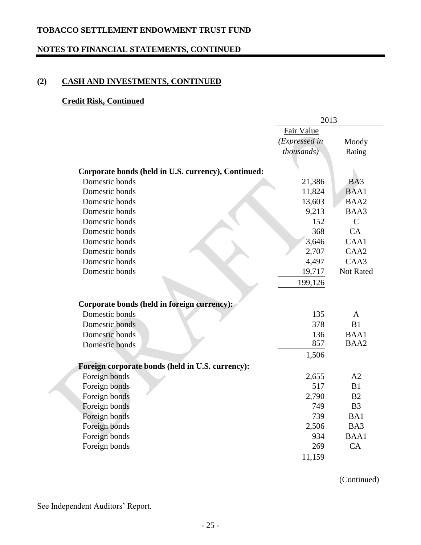### **NOTES TO FINANCIAL STATEMENTS, CONTINUED**

# **(2) CASH AND INVESTMENTS, CONTINUED**

### **Credit Risk, Continued**

|                                                     | 2013          |                  |  |
|-----------------------------------------------------|---------------|------------------|--|
|                                                     | Fair Value    |                  |  |
|                                                     | (Expressed in | Moody            |  |
|                                                     | thousands)    | Rating           |  |
|                                                     |               |                  |  |
| Corporate bonds (held in U.S. currency), Continued: |               |                  |  |
| Domestic bonds                                      | 21,386        | BA3              |  |
| Domestic bonds                                      | 11,824        | <b>BAA1</b>      |  |
| Domestic bonds                                      | 13,603        | BAA2             |  |
| Domestic bonds                                      | 9,213         | BAA3             |  |
| Domestic bonds                                      | 152           | $\mathcal{C}$    |  |
| Domestic bonds                                      | 368           | CA               |  |
| Domestic bonds                                      | 3,646         | CAA1             |  |
| Domestic bonds                                      | 2,707         | CAA <sub>2</sub> |  |
| Domestic bonds                                      | 4,497         | CAA3             |  |
| Domestic bonds                                      | 19,717        | Not Rated        |  |
|                                                     | 199,126       |                  |  |
|                                                     |               |                  |  |
| Corporate bonds (held in foreign currency):         |               |                  |  |
| Domestic bonds                                      | 135           | $\mathbf{A}$     |  |
| Domestic bonds                                      | 378           | B1               |  |
| Domestic bonds                                      | 136           | <b>BAA1</b>      |  |
| Domestic bonds                                      | 857           | BAA2             |  |
|                                                     | 1,506         |                  |  |
| Foreign corporate bonds (held in U.S. currency):    |               |                  |  |
| Foreign bonds                                       | 2,655         | A2               |  |
| Foreign bonds                                       | 517           | B1               |  |
| Foreign bonds                                       | 2,790         | B <sub>2</sub>   |  |
| Foreign bonds                                       | 749           | B <sub>3</sub>   |  |
| Foreign bonds                                       | 739           | BA1              |  |
| Foreign bonds                                       | 2,506         | BA3              |  |
| Foreign bonds                                       | 934           | BAA1             |  |
| Foreign bonds                                       | 269           | CA               |  |
|                                                     | 11,159        |                  |  |

(Continued)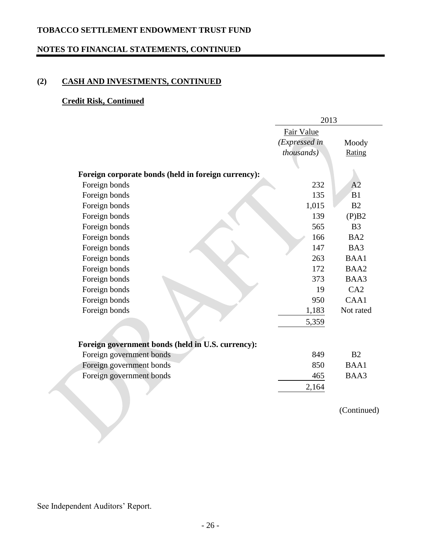### **NOTES TO FINANCIAL STATEMENTS, CONTINUED**

# **(2) CASH AND INVESTMENTS, CONTINUED**

#### **Credit Risk, Continued**

|                                                     | 2013          |                 |  |
|-----------------------------------------------------|---------------|-----------------|--|
|                                                     | Fair Value    |                 |  |
|                                                     | (Expressed in | Moody           |  |
|                                                     | thousands)    | Rating          |  |
|                                                     |               |                 |  |
| Foreign corporate bonds (held in foreign currency): |               |                 |  |
| Foreign bonds                                       | 232           | A <sub>2</sub>  |  |
| Foreign bonds                                       | 135           | B1              |  |
| Foreign bonds                                       | 1,015         | B <sub>2</sub>  |  |
| Foreign bonds                                       | 139           | (P)B2           |  |
| Foreign bonds                                       | 565           | B <sub>3</sub>  |  |
| Foreign bonds                                       | 166           | BA <sub>2</sub> |  |
| Foreign bonds                                       | 147           | BA3             |  |
| Foreign bonds                                       | 263           | BAA1            |  |
| Foreign bonds                                       | 172           | BAA2            |  |
| Foreign bonds                                       | 373           | BAA3            |  |
| Foreign bonds                                       | 19            | CA2             |  |
| Foreign bonds                                       | 950           | CAA1            |  |
| Foreign bonds                                       | 1,183         | Not rated       |  |
|                                                     | 5,359         |                 |  |
| Foreign government bonds (held in U.S. currency):   |               |                 |  |
| Foreign government bonds                            | 849           | B <sub>2</sub>  |  |
| Foreign government bonds                            | 850           | BAA1            |  |
| Foreign government bonds                            | 465           | BAA3            |  |
|                                                     | 2,164         |                 |  |
|                                                     |               |                 |  |

(Continued)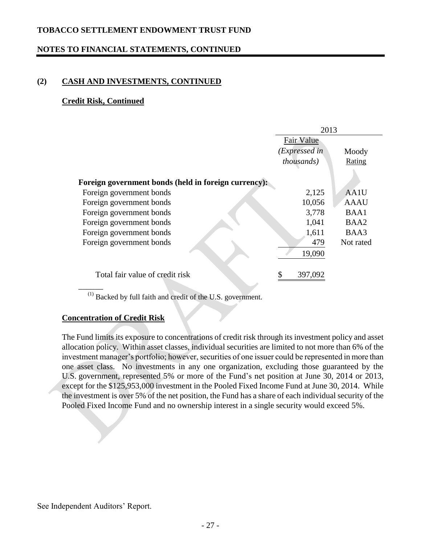### **NOTES TO FINANCIAL STATEMENTS, CONTINUED**

### **(2) CASH AND INVESTMENTS, CONTINUED**

#### **Credit Risk, Continued**

|                                                      | 2013               |             |
|------------------------------------------------------|--------------------|-------------|
|                                                      | Fair Value         |             |
|                                                      | (Expressed in      | Moody       |
|                                                      | <i>thousands</i> ) | Rating      |
|                                                      |                    |             |
| Foreign government bonds (held in foreign currency): |                    |             |
| Foreign government bonds                             | 2,125              | AA1U        |
| Foreign government bonds                             | 10,056             | <b>AAAU</b> |
| Foreign government bonds                             | 3,778              | BAA1        |
| Foreign government bonds                             | 1,041              | BAA2        |
| Foreign government bonds                             | 1,611              | BAA3        |
| Foreign government bonds                             | 479                | Not rated   |
|                                                      | 19,090             |             |
| Total fair value of credit risk                      | 397,092<br>\$      |             |

 $(1)$  Backed by full faith and credit of the U.S. government.

#### **Concentration of Credit Risk**

The Fund limits its exposure to concentrations of credit risk through its investment policy and asset allocation policy. Within asset classes, individual securities are limited to not more than 6% of the investment manager's portfolio; however, securities of one issuer could be represented in more than one asset class. No investments in any one organization, excluding those guaranteed by the U.S. government, represented 5% or more of the Fund's net position at June 30, 2014 or 2013, except for the \$125,953,000 investment in the Pooled Fixed Income Fund at June 30, 2014. While the investment is over 5% of the net position, the Fund has a share of each individual security of the Pooled Fixed Income Fund and no ownership interest in a single security would exceed 5%.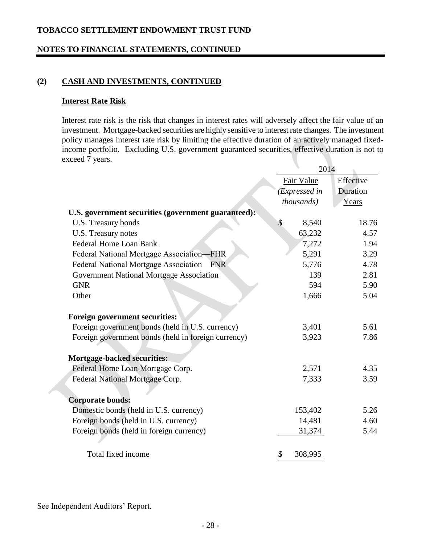### **NOTES TO FINANCIAL STATEMENTS, CONTINUED**

### **(2) CASH AND INVESTMENTS, CONTINUED**

#### **Interest Rate Risk**

Interest rate risk is the risk that changes in interest rates will adversely affect the fair value of an investment. Mortgage-backed securities are highly sensitive to interest rate changes. The investment policy manages interest rate risk by limiting the effective duration of an actively managed fixedincome portfolio. Excluding U.S. government guaranteed securities, effective duration is not to exceed 7 years.

|                                                     | 2014          |           |  |
|-----------------------------------------------------|---------------|-----------|--|
|                                                     | Fair Value    | Effective |  |
|                                                     | (Expressed in | Duration  |  |
|                                                     | thousands)    | Years     |  |
| U.S. government securities (government guaranteed): |               |           |  |
| U.S. Treasury bonds                                 | \$<br>8,540   | 18.76     |  |
| U.S. Treasury notes                                 | 63,232        | 4.57      |  |
| <b>Federal Home Loan Bank</b>                       | 7,272         | 1.94      |  |
| Federal National Mortgage Association-FHR           | 5,291         | 3.29      |  |
| Federal National Mortgage Association-FNR           | 5,776         | 4.78      |  |
| Government National Mortgage Association            | 139           | 2.81      |  |
| <b>GNR</b>                                          | 594           | 5.90      |  |
| Other                                               | 1,666         | 5.04      |  |
| Foreign government securities:                      |               |           |  |
| Foreign government bonds (held in U.S. currency)    | 3,401         | 5.61      |  |
| Foreign government bonds (held in foreign currency) | 3,923         | 7.86      |  |
| <b>Mortgage-backed securities:</b>                  |               |           |  |
| Federal Home Loan Mortgage Corp.                    | 2,571         | 4.35      |  |
| Federal National Mortgage Corp.                     | 7,333         | 3.59      |  |
| <b>Corporate bonds:</b>                             |               |           |  |
| Domestic bonds (held in U.S. currency)              | 153,402       | 5.26      |  |
| Foreign bonds (held in U.S. currency)               | 14,481        | 4.60      |  |
| Foreign bonds (held in foreign currency)            | 31,374        | 5.44      |  |
|                                                     |               |           |  |
| Total fixed income                                  | 308,995<br>\$ |           |  |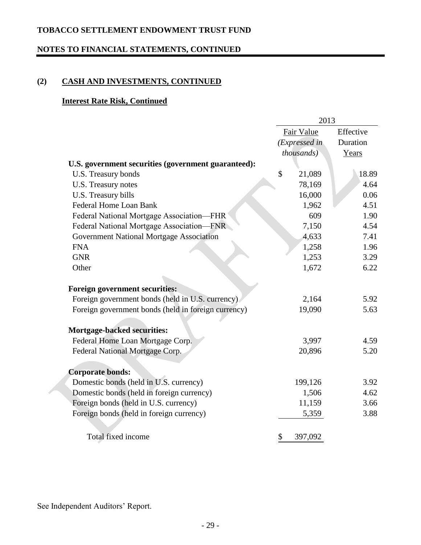### **NOTES TO FINANCIAL STATEMENTS, CONTINUED**

# **(2) CASH AND INVESTMENTS, CONTINUED**

### **Interest Rate Risk, Continued**

|                                                     | 2013 |                    |           |
|-----------------------------------------------------|------|--------------------|-----------|
|                                                     |      | Fair Value         | Effective |
|                                                     |      | (Expressed in      | Duration  |
|                                                     |      | <i>thousands</i> ) | Years     |
| U.S. government securities (government guaranteed): |      |                    |           |
| U.S. Treasury bonds                                 | \$   | 21,089             | 18.89     |
| U.S. Treasury notes                                 |      | 78,169             | 4.64      |
| U.S. Treasury bills                                 |      | 16,000             | 0.06      |
| <b>Federal Home Loan Bank</b>                       |      | 1,962              | 4.51      |
| Federal National Mortgage Association-FHR           |      | 609                | 1.90      |
| Federal National Mortgage Association-FNR           |      | 7,150              | 4.54      |
| Government National Mortgage Association            |      | 4,633              | 7.41      |
| <b>FNA</b>                                          |      | 1,258              | 1.96      |
| <b>GNR</b>                                          |      | 1,253              | 3.29      |
| Other                                               |      | 1,672              | 6.22      |
| Foreign government securities:                      |      |                    |           |
| Foreign government bonds (held in U.S. currency).   |      | 2,164              | 5.92      |
| Foreign government bonds (held in foreign currency) |      | 19,090             | 5.63      |
|                                                     |      |                    |           |
| <b>Mortgage-backed securities:</b>                  |      |                    |           |
| Federal Home Loan Mortgage Corp.                    |      | 3,997              | 4.59      |
| Federal National Mortgage Corp.                     |      | 20,896             | 5.20      |
|                                                     |      |                    |           |
| <b>Corporate bonds:</b>                             |      |                    |           |
| Domestic bonds (held in U.S. currency)              |      | 199,126            | 3.92      |
| Domestic bonds (held in foreign currency)           |      | 1,506              | 4.62      |
| Foreign bonds (held in U.S. currency)               |      | 11,159             | 3.66      |
| Foreign bonds (held in foreign currency)            |      | 5,359              | 3.88      |
|                                                     |      |                    |           |
| Total fixed income                                  | \$   | 397,092            |           |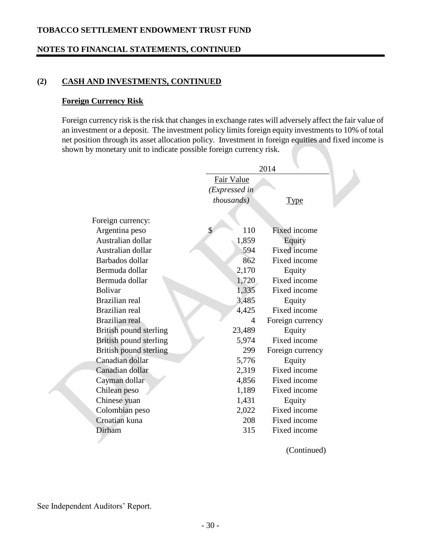### **NOTES TO FINANCIAL STATEMENTS, CONTINUED**

### **(2) CASH AND INVESTMENTS, CONTINUED**

#### **Foreign Currency Risk**

Foreign currency risk is the risk that changes in exchange rates will adversely affect the fair value of an investment or a deposit. The investment policy limits foreign equity investments to 10% of total net position through its asset allocation policy. Investment in foreign equities and fixed income is shown by monetary unit to indicate possible foreign currency risk.

|                        |                    | 2014                |
|------------------------|--------------------|---------------------|
|                        | Fair Value         |                     |
|                        | (Expressed in      |                     |
|                        | <i>thousands</i> ) | Type                |
|                        |                    |                     |
| Foreign currency:      |                    |                     |
| Argentina peso         | \$<br>110          | <b>Fixed income</b> |
| Australian dollar      | 1,859              | Equity              |
| Australian dollar      | 594                | Fixed income        |
| Barbados dollar        | 862                | Fixed income        |
| Bermuda dollar         | 2,170              | Equity              |
| Bermuda dollar         | 1,720              | Fixed income        |
| <b>Bolivar</b>         | 1,335              | Fixed income        |
| Brazilian real         | 3,485              | Equity              |
| <b>Brazilian</b> real  | 4,425              | Fixed income        |
| Brazilian real         | 4                  | Foreign currency    |
| British pound sterling | 23,489             | Equity              |
| British pound sterling | 5,974              | Fixed income        |
| British pound sterling | 299                | Foreign currency    |
| Canadian dollar        | 5,776              | Equity              |
| Canadian dollar        | 2,319              | Fixed income        |
| Cayman dollar          | 4,856              | Fixed income        |
| Chilean peso           | 1,189              | Fixed income        |
| Chinese yuan           | 1,431              | Equity              |
| Colombian peso         | 2,022              | Fixed income        |
| Croatian kuna          | 208                | Fixed income        |
| Dirham                 | 315                | Fixed income        |
|                        |                    |                     |

(Continued)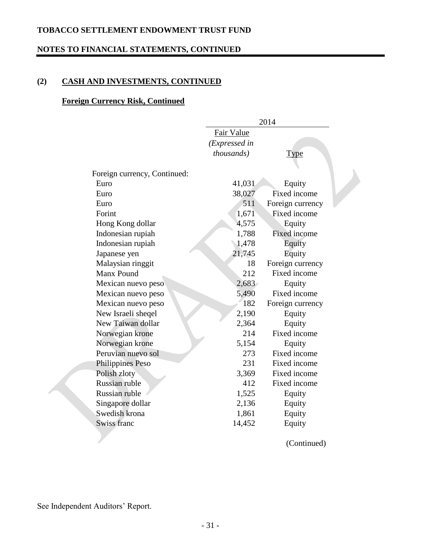### **NOTES TO FINANCIAL STATEMENTS, CONTINUED**

# **(2) CASH AND INVESTMENTS, CONTINUED**

### **Foreign Currency Risk, Continued**

|                              | 2014          |                     |  |  |  |  |
|------------------------------|---------------|---------------------|--|--|--|--|
|                              | Fair Value    |                     |  |  |  |  |
|                              | (Expressed in |                     |  |  |  |  |
|                              | thousands)    | <b>Type</b>         |  |  |  |  |
|                              |               |                     |  |  |  |  |
| Foreign currency, Continued: |               |                     |  |  |  |  |
| Euro                         | 41,031        | Equity              |  |  |  |  |
| Euro                         | 38,027        | Fixed income        |  |  |  |  |
| Euro                         | 511           | Foreign currency    |  |  |  |  |
| Forint                       | 1,671         | Fixed income        |  |  |  |  |
| Hong Kong dollar             | 4,575         | Equity              |  |  |  |  |
| Indonesian rupiah            | 1,788         | <b>Fixed income</b> |  |  |  |  |
| Indonesian rupiah            | 1,478         | Equity              |  |  |  |  |
| Japanese yen                 | 21,745        | Equity              |  |  |  |  |
| Malaysian ringgit            | 18            | Foreign currency    |  |  |  |  |
| <b>Manx Pound</b>            | 212           | Fixed income        |  |  |  |  |
| Mexican nuevo peso           | 2,683         | Equity              |  |  |  |  |
| Mexican nuevo peso           | 5,490         | Fixed income        |  |  |  |  |
| Mexican nuevo peso           | 182           | Foreign currency    |  |  |  |  |
| New Israeli sheqel           | 2,190         | Equity              |  |  |  |  |
| New Taiwan dollar            | 2,364         | Equity              |  |  |  |  |
| Norwegian krone              | 214           | Fixed income        |  |  |  |  |
| Norwegian krone              | 5,154         | Equity              |  |  |  |  |
| Peruvian nuevo sol           | 273           | Fixed income        |  |  |  |  |
| Philippines Peso             | 231           | Fixed income        |  |  |  |  |
| Polish zloty                 | 3,369         | Fixed income        |  |  |  |  |
| Russian ruble                | 412           | Fixed income        |  |  |  |  |
| Russian ruble                | 1,525         | Equity              |  |  |  |  |
| Singapore dollar             | 2,136         | Equity              |  |  |  |  |
| Swedish krona                | 1,861         | Equity              |  |  |  |  |
| <b>Swiss franc</b>           | 14,452        | Equity              |  |  |  |  |
|                              |               |                     |  |  |  |  |

(Continued)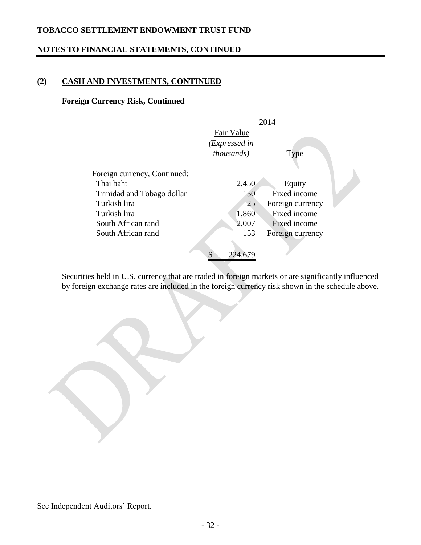# **NOTES TO FINANCIAL STATEMENTS, CONTINUED**

# **(2) CASH AND INVESTMENTS, CONTINUED**

### **Foreign Currency Risk, Continued**

|                              |                    | 2014             |  |
|------------------------------|--------------------|------------------|--|
|                              | Fair Value         |                  |  |
|                              | (Expressed in      |                  |  |
|                              | <i>thousands</i> ) | Type             |  |
|                              |                    |                  |  |
| Foreign currency, Continued: |                    |                  |  |
| Thai baht                    | 2,450              | Equity           |  |
| Trinidad and Tobago dollar   | 150                | Fixed income     |  |
| Turkish lira                 | 25                 | Foreign currency |  |
| Turkish lira                 | 1,860              | Fixed income     |  |
| South African rand           | 2,007              | Fixed income     |  |
| South African rand           | 153                | Foreign currency |  |
|                              |                    |                  |  |
|                              | \$<br>224,679      |                  |  |

Securities held in U.S. currency that are traded in foreign markets or are significantly influenced by foreign exchange rates are included in the foreign currency risk shown in the schedule above.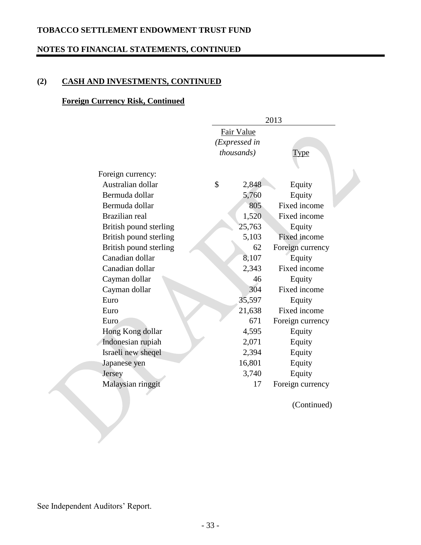### **NOTES TO FINANCIAL STATEMENTS, CONTINUED**

# **(2) CASH AND INVESTMENTS, CONTINUED**

#### **Foreign Currency Risk, Continued**

|                        |               | 2013               |                     |  |  |
|------------------------|---------------|--------------------|---------------------|--|--|
|                        | Fair Value    |                    |                     |  |  |
|                        |               | (Expressed in      |                     |  |  |
|                        |               | <i>thousands</i> ) | <b>Type</b>         |  |  |
|                        |               |                    |                     |  |  |
| Foreign currency:      |               |                    |                     |  |  |
| Australian dollar      | $\mathcal{S}$ | 2,848              | Equity              |  |  |
| Bermuda dollar         |               | 5,760              | Equity              |  |  |
| Bermuda dollar         |               | 805                | Fixed income        |  |  |
| Brazilian real         |               | 1,520              | Fixed income        |  |  |
| British pound sterling |               | 25,763             | Equity              |  |  |
| British pound sterling |               | 5,103              | <b>Fixed income</b> |  |  |
| British pound sterling |               | 62                 | Foreign currency    |  |  |
| Canadian dollar        |               | 8,107              | Equity              |  |  |
| Canadian dollar        |               | 2,343              | Fixed income        |  |  |
| Cayman dollar          |               | 46                 | Equity              |  |  |
| Cayman dollar          |               | 304                | Fixed income        |  |  |
| Euro                   |               | 35,597             | Equity              |  |  |
| Euro                   |               | 21,638             | Fixed income        |  |  |
| Euro                   |               | 671                | Foreign currency    |  |  |
| Hong Kong dollar       |               | 4,595              | Equity              |  |  |
| Indonesian rupiah      |               | 2,071              | Equity              |  |  |
| Israeli new sheqel     |               | 2,394              | Equity              |  |  |
| Japanese yen           |               | 16,801             | Equity              |  |  |
| Jersey                 |               | 3,740              | Equity              |  |  |
| Malaysian ringgit      |               | 17                 | Foreign currency    |  |  |
|                        |               |                    |                     |  |  |

(Continued)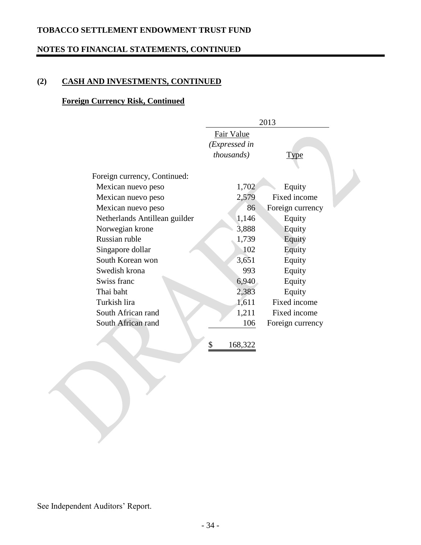### **NOTES TO FINANCIAL STATEMENTS, CONTINUED**

# **(2) CASH AND INVESTMENTS, CONTINUED**

# **Foreign Currency Risk, Continued**

|                               | 2013               |                  |  |  |  |
|-------------------------------|--------------------|------------------|--|--|--|
|                               | Fair Value         |                  |  |  |  |
|                               | (Expressed in      |                  |  |  |  |
|                               | <i>thousands</i> ) | <b>Type</b>      |  |  |  |
|                               |                    |                  |  |  |  |
| Foreign currency, Continued:  |                    |                  |  |  |  |
| Mexican nuevo peso            | 1,702              | Equity           |  |  |  |
| Mexican nuevo peso            | 2,579              | Fixed income     |  |  |  |
| Mexican nuevo peso            | 86                 | Foreign currency |  |  |  |
| Netherlands Antillean guilder | 1,146              | Equity           |  |  |  |
| Norwegian krone               | 3,888              | Equity           |  |  |  |
| Russian ruble                 | 1,739              | Equity           |  |  |  |
| Singapore dollar              | 102                | Equity           |  |  |  |
| South Korean won              | 3,651              | Equity           |  |  |  |
| Swedish krona                 | 993                | Equity           |  |  |  |
| Swiss franc                   | 6,940              | Equity           |  |  |  |
| Thai baht                     | 2,383              | Equity           |  |  |  |
| Turkish lira                  | 1,611              | Fixed income     |  |  |  |
| South African rand            | 1,211              | Fixed income     |  |  |  |
| South African rand            | 106                | Foreign currency |  |  |  |
|                               |                    |                  |  |  |  |
|                               | \$<br>168,322      |                  |  |  |  |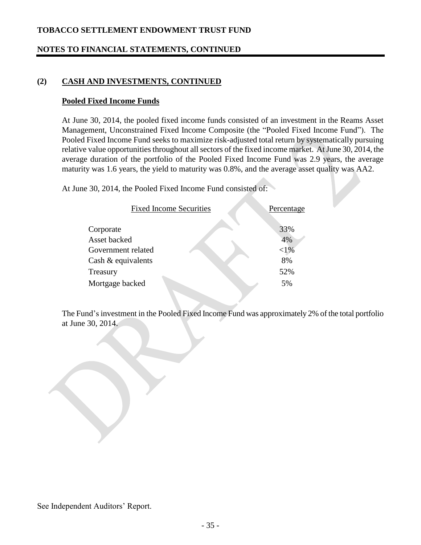### **NOTES TO FINANCIAL STATEMENTS, CONTINUED**

### **(2) CASH AND INVESTMENTS, CONTINUED**

#### **Pooled Fixed Income Funds**

At June 30, 2014, the pooled fixed income funds consisted of an investment in the Reams Asset Management, Unconstrained Fixed Income Composite (the "Pooled Fixed Income Fund"). The Pooled Fixed Income Fund seeks to maximize risk-adjusted total return by systematically pursuing relative value opportunities throughout all sectors of the fixed income market. At June 30, 2014, the average duration of the portfolio of the Pooled Fixed Income Fund was 2.9 years, the average maturity was 1.6 years, the yield to maturity was 0.8%, and the average asset quality was AA2.

At June 30, 2014, the Pooled Fixed Income Fund consisted of:

| <b>Fixed Income Securities</b>           | Percentage     |
|------------------------------------------|----------------|
| Corporate<br>Asset backed                | 33%<br>4%      |
| Government related<br>Cash & equivalents | ${<}1\%$<br>8% |
| Treasury                                 | 52%            |
| Mortgage backed                          | 5%             |

The Fund's investment in the Pooled Fixed Income Fund was approximately 2% of the total portfolio at June 30, 2014.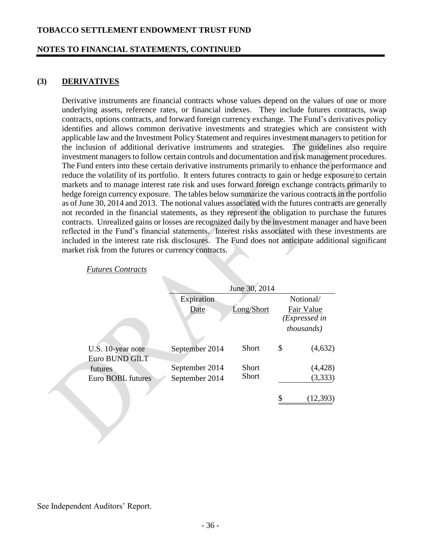#### **NOTES TO FINANCIAL STATEMENTS, CONTINUED**

#### **(3) DERIVATIVES**

Derivative instruments are financial contracts whose values depend on the values of one or more underlying assets, reference rates, or financial indexes. They include futures contracts, swap contracts, options contracts, and forward foreign currency exchange. The Fund's derivatives policy identifies and allows common derivative investments and strategies which are consistent with applicable law and the Investment Policy Statement and requires investment managers to petition for the inclusion of additional derivative instruments and strategies. The guidelines also require investment managers to follow certain controls and documentation and risk management procedures. The Fund enters into these certain derivative instruments primarily to enhance the performance and reduce the volatility of its portfolio. It enters futures contracts to gain or hedge exposure to certain markets and to manage interest rate risk and uses forward foreign exchange contracts primarily to hedge foreign currency exposure. The tables below summarize the various contracts in the portfolio as of June 30, 2014 and 2013. The notional values associated with the futures contracts are generally not recorded in the financial statements, as they represent the obligation to purchase the futures contracts. Unrealized gains or losses are recognized daily by the investment manager and have been reflected in the Fund's financial statements. Interest risks associated with these investments are included in the interest rate risk disclosures. The Fund does not anticipate additional significant market risk from the futures or currency contracts.

|                                     |                | June 30, 2014 |                             |
|-------------------------------------|----------------|---------------|-----------------------------|
|                                     | Expiration     |               | Notional/                   |
|                                     | Date           | Long/Short    | Fair Value<br>(Expressed in |
|                                     |                |               | <i>thousands</i> )          |
| U.S. 10-year note<br>Euro BUND GILT | September 2014 | <b>Short</b>  | \$<br>(4,632)               |
| futures                             | September 2014 | <b>Short</b>  | (4, 428)                    |
| Euro BOBL futures                   | September 2014 | <b>Short</b>  | (3,333)                     |
|                                     |                |               | (12, 393)                   |

#### *Futures Contracts*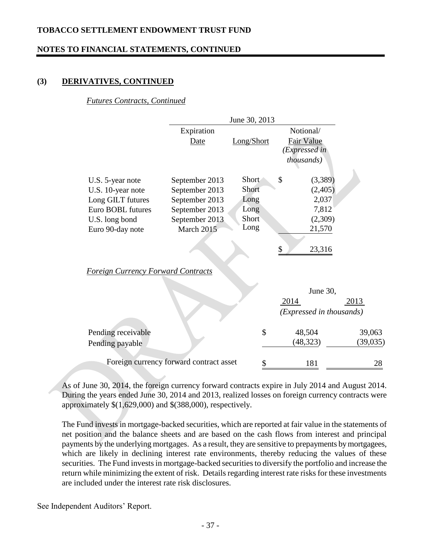### **NOTES TO FINANCIAL STATEMENTS, CONTINUED**

### **(3) DERIVATIVES, CONTINUED**

#### *Futures Contracts, Continued*

|                                           |                                         | June 30, 2013  |                                    |           |
|-------------------------------------------|-----------------------------------------|----------------|------------------------------------|-----------|
|                                           | Expiration                              |                | Notional/                          |           |
|                                           | <b>Date</b>                             | Long/Short     | <b>Fair Value</b><br>(Expressed in |           |
|                                           |                                         |                | <i>thousands</i> )                 |           |
| U.S. 5-year note<br>U.S. 10-year note     | September 2013<br>September 2013        | Short<br>Short | \$<br>(3,389)                      | (2,405)   |
| Long GILT futures                         | September 2013                          | Long           |                                    | 2,037     |
| Euro BOBL futures                         | September 2013                          | Long           |                                    | 7,812     |
| U.S. long bond                            | September 2013                          | Short          |                                    | (2,309)   |
| Euro 90-day note                          | March 2015                              | Long           | 21,570                             |           |
|                                           |                                         |                | \$<br>23,316                       |           |
| <b>Foreign Currency Forward Contracts</b> |                                         |                |                                    |           |
|                                           |                                         |                | June 30,                           |           |
|                                           |                                         |                | 2014                               | 2013      |
|                                           |                                         |                | (Expressed in thousands)           |           |
| Pending receivable                        |                                         | \$             | 48,504                             | 39,063    |
| Pending payable                           |                                         |                | (48, 323)                          | (39, 035) |
|                                           | Foreign currency forward contract asset | \$             | 181                                | 28        |

As of June 30, 2014, the foreign currency forward contracts expire in July 2014 and August 2014. During the years ended June 30, 2014 and 2013, realized losses on foreign currency contracts were approximately \$(1,629,000) and \$(388,000), respectively.

The Fund invests in mortgage-backed securities, which are reported at fair value in the statements of net position and the balance sheets and are based on the cash flows from interest and principal payments by the underlying mortgages. As a result, they are sensitive to prepayments by mortgagees, which are likely in declining interest rate environments, thereby reducing the values of these securities. The Fund invests in mortgage-backed securities to diversify the portfolio and increase the return while minimizing the extent of risk. Details regarding interest rate risks for these investments are included under the interest rate risk disclosures.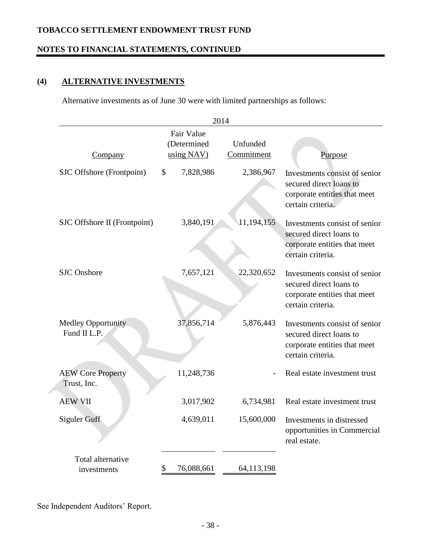### **NOTES TO FINANCIAL STATEMENTS, CONTINUED**

# **(4) ALTERNATIVE INVESTMENTS**

Alternative investments as of June 30 were with limited partnerships as follows:

|                                           |    |                                         | 2014                   |                                                                                                               |
|-------------------------------------------|----|-----------------------------------------|------------------------|---------------------------------------------------------------------------------------------------------------|
| <b>Company</b>                            |    | Fair Value<br>(Determined<br>using NAV) | Unfunded<br>Commitment | <u>Purpose</u>                                                                                                |
| SJC Offshore (Frontpoint)                 | \$ | 7,828,986                               | 2,386,967              | Investments consist of senior<br>secured direct loans to<br>corporate entities that meet<br>certain criteria. |
| SJC Offshore II (Frontpoint)              |    | 3,840,191                               | 11,194,155             | Investments consist of senior<br>secured direct loans to<br>corporate entities that meet<br>certain criteria. |
| <b>SJC</b> Onshore                        |    | 7,657,121                               | 22,320,652             | Investments consist of senior<br>secured direct loans to<br>corporate entities that meet<br>certain criteria. |
| <b>Medley Opportunity</b><br>Fund II L.P. |    | 37,856,714                              | 5,876,443              | Investments consist of senior<br>secured direct loans to<br>corporate entities that meet<br>certain criteria. |
| <b>AEW Core Property</b><br>Trust, Inc.   |    | 11,248,736                              |                        | Real estate investment trust                                                                                  |
| <b>AEW VII</b>                            |    | 3,017,902                               | 6,734,981              | Real estate investment trust                                                                                  |
| <b>Siguler Guff</b>                       |    | 4,639,011                               | 15,600,000             | Investments in distressed<br>opportunities in Commercial<br>real estate.                                      |
| Total alternative<br>investments          | P. | 76,088,661                              | 64,113,198             |                                                                                                               |
|                                           |    |                                         |                        |                                                                                                               |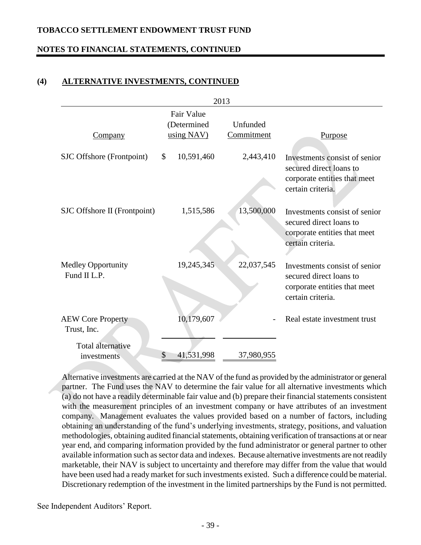### **NOTES TO FINANCIAL STATEMENTS, CONTINUED**

#### **(4) ALTERNATIVE INVESTMENTS, CONTINUED**

|                                           |                           | 2013       |                                                                                                               |
|-------------------------------------------|---------------------------|------------|---------------------------------------------------------------------------------------------------------------|
|                                           | Fair Value<br>(Determined | Unfunded   |                                                                                                               |
| Company                                   | using NAV)                | Commitment | <b>Purpose</b>                                                                                                |
| SJC Offshore (Frontpoint)                 | \$<br>10,591,460          | 2,443,410  | Investments consist of senior<br>secured direct loans to<br>corporate entities that meet<br>certain criteria. |
| SJC Offshore II (Frontpoint)              | 1,515,586                 | 13,500,000 | Investments consist of senior<br>secured direct loans to<br>corporate entities that meet<br>certain criteria. |
| <b>Medley Opportunity</b><br>Fund II L.P. | 19,245,345                | 22,037,545 | Investments consist of senior<br>secured direct loans to<br>corporate entities that meet<br>certain criteria. |
| <b>AEW Core Property</b><br>Trust, Inc.   | 10,179,607                |            | Real estate investment trust                                                                                  |
| <b>Total alternative</b><br>investments   | 41,531,998<br>\$          | 37,980,955 |                                                                                                               |

Alternative investments are carried at the NAV of the fund as provided by the administrator or general partner. The Fund uses the NAV to determine the fair value for all alternative investments which (a) do not have a readily determinable fair value and (b) prepare their financial statements consistent with the measurement principles of an investment company or have attributes of an investment company. Management evaluates the values provided based on a number of factors, including obtaining an understanding of the fund's underlying investments, strategy, positions, and valuation methodologies, obtaining audited financial statements, obtaining verification of transactions at or near year end, and comparing information provided by the fund administrator or general partner to other available information such as sector data and indexes. Because alternative investments are not readily marketable, their NAV is subject to uncertainty and therefore may differ from the value that would have been used had a ready market for such investments existed. Such a difference could be material. Discretionary redemption of the investment in the limited partnerships by the Fund is not permitted.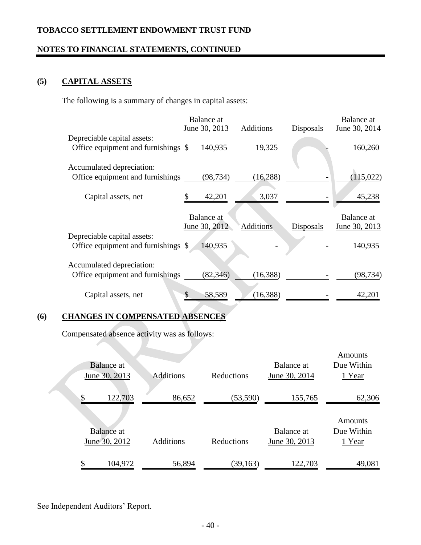### **NOTES TO FINANCIAL STATEMENTS, CONTINUED**

# **(5) CAPITAL ASSETS**

The following is a summary of changes in capital assets:

|                                                                    | Balance at        |                  |           | Balance at    |
|--------------------------------------------------------------------|-------------------|------------------|-----------|---------------|
|                                                                    | June 30, 2013     | Additions        | Disposals | June 30, 2014 |
| Depreciable capital assets:                                        |                   |                  |           |               |
| Office equipment and furnishings \$                                | 140,935           | 19,325           |           | 160,260       |
| Accumulated depreciation:                                          |                   |                  |           |               |
| Office equipment and furnishings                                   | (98, 734)         | (16, 288)        |           | (115, 022)    |
| Capital assets, net                                                | \$<br>42,201      | 3,037            |           | 45,238        |
|                                                                    | <b>Balance</b> at |                  |           | Balance at    |
|                                                                    | June 30, 2012     | <b>Additions</b> | Disposals | June 30, 2013 |
| Depreciable capital assets:<br>Office equipment and furnishings \$ | 140,935           |                  |           | 140,935       |
| Accumulated depreciation:                                          |                   |                  |           |               |
| Office equipment and furnishings                                   | (82, 346)         | (16, 388)        |           | (98,734)      |
| Capital assets, net                                                | \$<br>58,589      | (16, 388)        |           | 42,201        |
|                                                                    |                   |                  |           |               |

# **(6) CHANGES IN COMPENSATED ABSENCES**

Compensated absence activity was as follows:

| Balance at<br>June 30, 2013        | <b>Additions</b> | Reductions | Balance at<br>June 30, 2014 | <b>Amounts</b><br>Due Within<br>1 Year |
|------------------------------------|------------------|------------|-----------------------------|----------------------------------------|
| \$<br>122,703                      | 86,652           | (53, 590)  | 155,765                     | 62,306                                 |
| <b>Balance</b> at<br>June 30, 2012 | <b>Additions</b> | Reductions | Balance at<br>June 30, 2013 | Amounts<br>Due Within<br>1 Year        |
| \$<br>104,972                      | 56,894           | (39, 163)  | 122,703                     | 49,081                                 |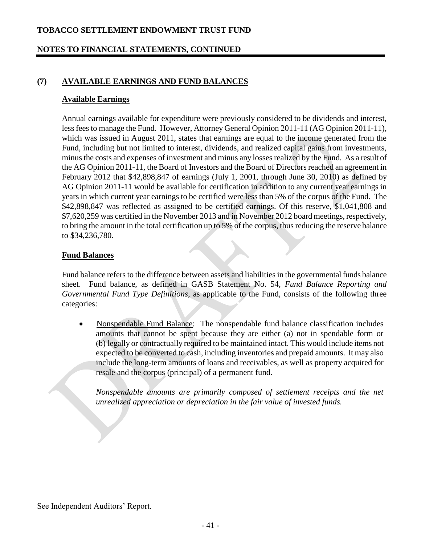### **NOTES TO FINANCIAL STATEMENTS, CONTINUED**

### **(7) AVAILABLE EARNINGS AND FUND BALANCES**

#### **Available Earnings**

Annual earnings available for expenditure were previously considered to be dividends and interest, less fees to manage the Fund. However, Attorney General Opinion 2011-11 (AG Opinion 2011-11), which was issued in August 2011, states that earnings are equal to the income generated from the Fund, including but not limited to interest, dividends, and realized capital gains from investments, minus the costs and expenses of investment and minus any losses realized by the Fund. As a result of the AG Opinion 2011-11, the Board of Investors and the Board of Directors reached an agreement in February 2012 that \$42,898,847 of earnings (July 1, 2001, through June 30, 2010) as defined by AG Opinion 2011-11 would be available for certification in addition to any current year earnings in years in which current year earnings to be certified were less than 5% of the corpus of the Fund. The \$42,898,847 was reflected as assigned to be certified earnings. Of this reserve, \$1,041,808 and \$7,620,259 was certified in the November 2013 and in November 2012 board meetings, respectively, to bring the amount in the total certification up to 5% of the corpus, thus reducing the reserve balance to \$34,236,780.

#### **Fund Balances**

Fund balance refers to the difference between assets and liabilities in the governmental funds balance sheet. Fund balance, as defined in GASB Statement No. 54, *Fund Balance Reporting and Governmental Fund Type Definitions*, as applicable to the Fund, consists of the following three categories:

 Nonspendable Fund Balance: The nonspendable fund balance classification includes amounts that cannot be spent because they are either (a) not in spendable form or (b) legally or contractually required to be maintained intact. This would include items not expected to be converted to cash, including inventories and prepaid amounts. It may also include the long-term amounts of loans and receivables, as well as property acquired for resale and the corpus (principal) of a permanent fund.

*Nonspendable amounts are primarily composed of settlement receipts and the net unrealized appreciation or depreciation in the fair value of invested funds.*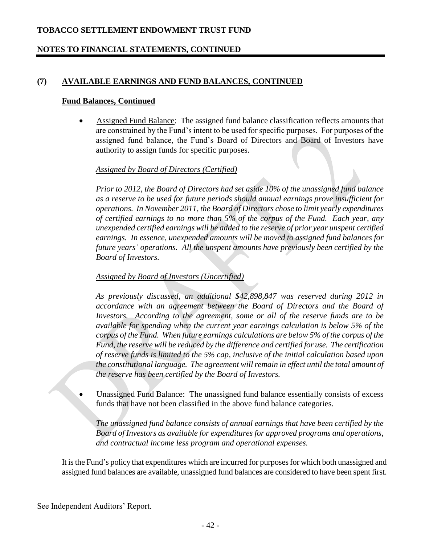# **NOTES TO FINANCIAL STATEMENTS, CONTINUED**

### **(7) AVAILABLE EARNINGS AND FUND BALANCES, CONTINUED**

#### **Fund Balances, Continued**

 Assigned Fund Balance: The assigned fund balance classification reflects amounts that are constrained by the Fund's intent to be used for specific purposes. For purposes of the assigned fund balance, the Fund's Board of Directors and Board of Investors have authority to assign funds for specific purposes.

#### *Assigned by Board of Directors (Certified)*

*Prior to 2012, the Board of Directors had set aside 10% of the unassigned fund balance as a reserve to be used for future periods should annual earnings prove insufficient for operations. In November 2011, the Board of Directors chose to limit yearly expenditures of certified earnings to no more than 5% of the corpus of the Fund. Each year, any unexpended certified earnings will be added to the reserve of prior year unspent certified earnings. In essence, unexpended amounts will be moved to assigned fund balances for future years' operations. All the unspent amounts have previously been certified by the Board of Investors.*

### *Assigned by Board of Investors (Uncertified)*

*As previously discussed, an additional \$42,898,847 was reserved during 2012 in accordance with an agreement between the Board of Directors and the Board of Investors. According to the agreement, some or all of the reserve funds are to be available for spending when the current year earnings calculation is below 5% of the corpus of the Fund. When future earnings calculations are below 5% of the corpus of the Fund, the reserve will be reduced by the difference and certified for use. The certification of reserve funds is limited to the 5% cap, inclusive of the initial calculation based upon the constitutional language. The agreement will remain in effect until the total amount of the reserve has been certified by the Board of Investors.*

 Unassigned Fund Balance: The unassigned fund balance essentially consists of excess funds that have not been classified in the above fund balance categories.

*The unassigned fund balance consists of annual earnings that have been certified by the Board of Investors as available for expenditures for approved programs and operations, and contractual income less program and operational expenses.* 

It is the Fund's policy that expenditures which are incurred for purposes for which both unassigned and assigned fund balances are available, unassigned fund balances are considered to have been spent first.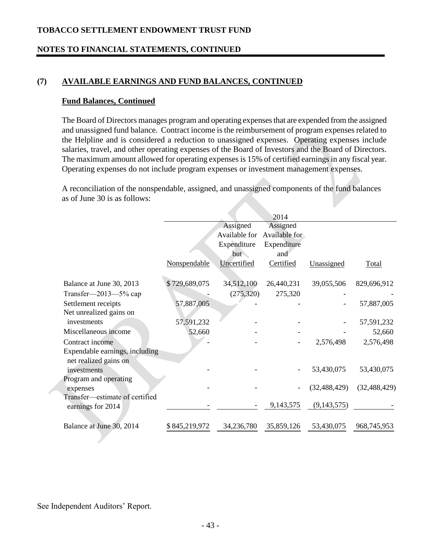### **NOTES TO FINANCIAL STATEMENTS, CONTINUED**

### **(7) AVAILABLE EARNINGS AND FUND BALANCES, CONTINUED**

#### **Fund Balances, Continued**

The Board of Directors manages program and operating expenses that are expended from the assigned and unassigned fund balance. Contract income is the reimbursement of program expenses related to the Helpline and is considered a reduction to unassigned expenses. Operating expenses include salaries, travel, and other operating expenses of the Board of Investors and the Board of Directors. The maximum amount allowed for operating expenses is 15% of certified earnings in any fiscal year. Operating expenses do not include program expenses or investment management expenses.

A reconciliation of the nonspendable, assigned, and unassigned components of the fund balances as of June 30 is as follows:

|                                |               |                           | 2014                      |                |                |
|--------------------------------|---------------|---------------------------|---------------------------|----------------|----------------|
|                                |               | Assigned<br>Available for | Assigned<br>Available for |                |                |
|                                |               | Expenditure<br>but        | Expenditure<br>and        |                |                |
|                                | Nonspendable  | Uncertified               | Certified                 | Unassigned     | <b>Total</b>   |
| Balance at June 30, 2013       | \$729,689,075 | 34,512,100                | 26,440,231                | 39,055,506     | 829,696,912    |
| Transfer— $2013 - 5\%$ cap     |               | (275,320)                 | 275,320                   |                |                |
| Settlement receipts            | 57,887,005    |                           |                           |                | 57,887,005     |
| Net unrealized gains on        |               |                           |                           |                |                |
| investments                    | 57,591,232    |                           |                           |                | 57,591,232     |
| Miscellaneous income           | 52,660        |                           |                           |                | 52,660         |
| Contract income                |               |                           |                           | 2,576,498      | 2,576,498      |
| Expendable earnings, including |               |                           |                           |                |                |
| net realized gains on          |               |                           |                           |                |                |
| investments                    |               |                           |                           | 53,430,075     | 53,430,075     |
| Program and operating          |               |                           |                           |                |                |
| expenses                       |               |                           |                           | (32, 488, 429) | (32, 488, 429) |
| Transfer-estimate of certified |               |                           | 9,143,575                 | (9,143,575)    |                |
| earnings for 2014              |               |                           |                           |                |                |
| Balance at June 30, 2014       | \$845,219,972 | 34,236,780                | 35,859,126                | 53,430,075     | 968,745,953    |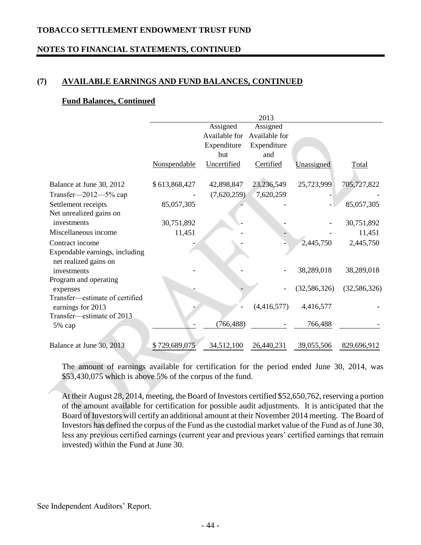### **NOTES TO FINANCIAL STATEMENTS, CONTINUED**

### **(7) AVAILABLE EARNINGS AND FUND BALANCES, CONTINUED**

#### **Fund Balances, Continued**

|                                                         |               |               | 2013          |                |                |
|---------------------------------------------------------|---------------|---------------|---------------|----------------|----------------|
|                                                         |               | Assigned      | Assigned      |                |                |
|                                                         |               | Available for | Available for |                |                |
|                                                         |               | Expenditure   | Expenditure   |                |                |
|                                                         |               | but           | and           |                |                |
|                                                         | Nonspendable  | Uncertified   | Certified     | Unassigned     | Total          |
| Balance at June 30, 2012                                | \$613,868,427 | 42,898,847    | 23,236,549    | 25,723,999     | 705,727,822    |
| Transfer— $2012 - 5\%$ cap                              |               | (7,620,259)   | 7,620,259     |                |                |
| Settlement receipts                                     | 85,057,305    |               |               |                | 85,057,305     |
| Net unrealized gains on                                 |               |               |               |                |                |
| investments                                             | 30,751,892    |               |               |                | 30,751,892     |
| Miscellaneous income                                    | 11,451        |               |               |                | 11,451         |
| Contract income                                         |               |               |               | 2,445,750      | 2,445,750      |
| Expendable earnings, including<br>net realized gains on |               |               |               |                |                |
| investments                                             |               |               |               | 38,289,018     | 38,289,018     |
| Program and operating                                   |               |               |               |                |                |
| expenses                                                |               |               |               | (32, 586, 326) | (32, 586, 326) |
| Transfer-estimate of certified<br>earnings for 2013     |               |               | (4,416,577)   | 4,416,577      |                |
| Transfer-estimate of 2013<br>5% cap                     |               | (766, 488)    |               | 766,488        |                |
|                                                         |               |               |               |                |                |
| Balance at June 30, 2013                                | \$729,689,075 | 34,512,100    | 26,440,231    | 39,055,506     | 829,696,912    |

The amount of earnings available for certification for the period ended June 30, 2014, was \$53,430,075 which is above 5% of the corpus of the fund.

At their August 28, 2014, meeting, the Board of Investors certified \$52,650,762, reserving a portion of the amount available for certification for possible audit adjustments. It is anticipated that the Board of Investors will certify an additional amount at their November 2014 meeting. The Board of Investors has defined the corpus of the Fund as the custodial market value of the Fund as of June 30, less any previous certified earnings (current year and previous years' certified earnings that remain invested) within the Fund at June 30.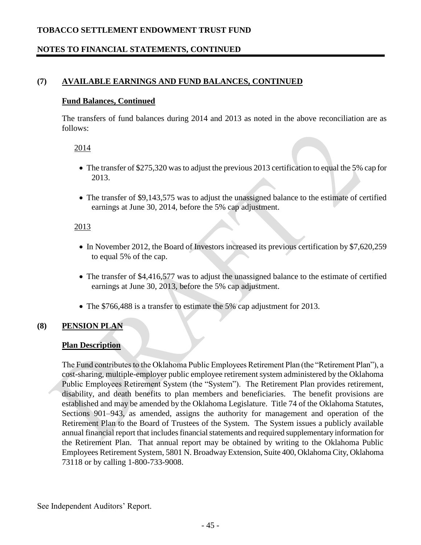# **NOTES TO FINANCIAL STATEMENTS, CONTINUED**

### **(7) AVAILABLE EARNINGS AND FUND BALANCES, CONTINUED**

#### **Fund Balances, Continued**

The transfers of fund balances during 2014 and 2013 as noted in the above reconciliation are as follows:

#### 2014

- The transfer of \$275,320 was to adjust the previous 2013 certification to equal the 5% cap for 2013.
- The transfer of \$9,143,575 was to adjust the unassigned balance to the estimate of certified earnings at June 30, 2014, before the 5% cap adjustment.

#### 2013

- In November 2012, the Board of Investors increased its previous certification by \$7,620,259 to equal 5% of the cap.
- The transfer of \$4,416,577 was to adjust the unassigned balance to the estimate of certified earnings at June 30, 2013, before the 5% cap adjustment.
- The \$766,488 is a transfer to estimate the 5% cap adjustment for 2013.

#### **(8) PENSION PLAN**

#### **Plan Description**

The Fund contributes to the Oklahoma Public Employees Retirement Plan (the "Retirement Plan"), a cost-sharing, multiple-employer public employee retirement system administered by the Oklahoma Public Employees Retirement System (the "System"). The Retirement Plan provides retirement, disability, and death benefits to plan members and beneficiaries. The benefit provisions are established and may be amended by the Oklahoma Legislature. Title 74 of the Oklahoma Statutes, Sections 901–943, as amended, assigns the authority for management and operation of the Retirement Plan to the Board of Trustees of the System. The System issues a publicly available annual financial report that includes financial statements and required supplementary information for the Retirement Plan. That annual report may be obtained by writing to the Oklahoma Public Employees Retirement System, 5801 N. Broadway Extension, Suite 400, Oklahoma City, Oklahoma 73118 or by calling 1-800-733-9008.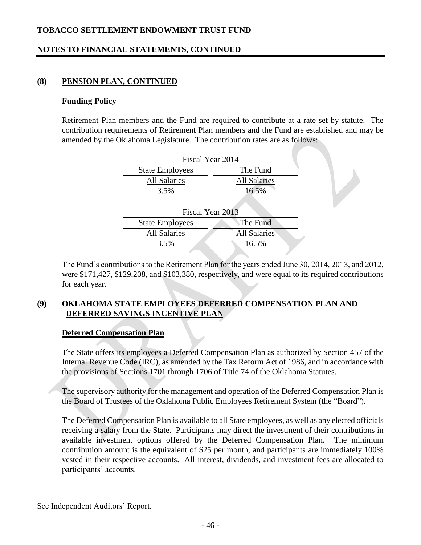# **NOTES TO FINANCIAL STATEMENTS, CONTINUED**

### **(8) PENSION PLAN, CONTINUED**

#### **Funding Policy**

Retirement Plan members and the Fund are required to contribute at a rate set by statute. The contribution requirements of Retirement Plan members and the Fund are established and may be amended by the Oklahoma Legislature. The contribution rates are as follows:

| Fiscal Year 2014                           |                     |  |  |
|--------------------------------------------|---------------------|--|--|
| The Fund<br><b>State Employees</b>         |                     |  |  |
| <b>All Salaries</b><br><b>All Salaries</b> |                     |  |  |
| 3.5%                                       | 16.5%               |  |  |
|                                            |                     |  |  |
| Fiscal Year 2013                           |                     |  |  |
| <b>State Employees</b>                     | The Fund            |  |  |
| <b>All Salaries</b>                        | <b>All Salaries</b> |  |  |
| 3.5%                                       | 16.5%               |  |  |

The Fund's contributions to the Retirement Plan for the years ended June 30, 2014, 2013, and 2012, were \$171,427, \$129,208, and \$103,380, respectively, and were equal to its required contributions for each year.

### **(9) OKLAHOMA STATE EMPLOYEES DEFERRED COMPENSATION PLAN AND DEFERRED SAVINGS INCENTIVE PLAN**

### **Deferred Compensation Plan**

The State offers its employees a Deferred Compensation Plan as authorized by Section 457 of the Internal Revenue Code (IRC), as amended by the Tax Reform Act of 1986, and in accordance with the provisions of Sections 1701 through 1706 of Title 74 of the Oklahoma Statutes.

The supervisory authority for the management and operation of the Deferred Compensation Plan is the Board of Trustees of the Oklahoma Public Employees Retirement System (the "Board").

The Deferred Compensation Plan is available to all State employees, as well as any elected officials receiving a salary from the State. Participants may direct the investment of their contributions in available investment options offered by the Deferred Compensation Plan. The minimum contribution amount is the equivalent of \$25 per month, and participants are immediately 100% vested in their respective accounts. All interest, dividends, and investment fees are allocated to participants' accounts.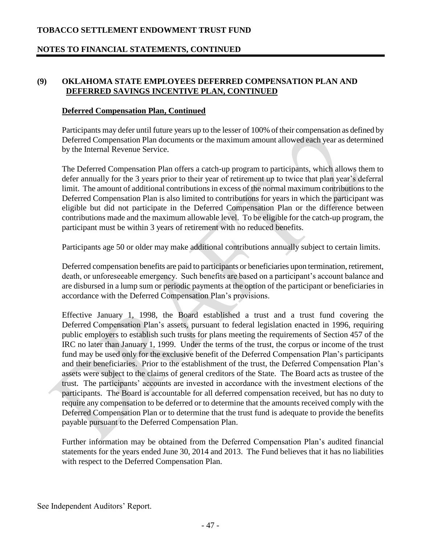### **NOTES TO FINANCIAL STATEMENTS, CONTINUED**

### **(9) OKLAHOMA STATE EMPLOYEES DEFERRED COMPENSATION PLAN AND DEFERRED SAVINGS INCENTIVE PLAN, CONTINUED**

#### **Deferred Compensation Plan, Continued**

Participants may defer until future years up to the lesser of 100% of their compensation as defined by Deferred Compensation Plan documents or the maximum amount allowed each year as determined by the Internal Revenue Service.

The Deferred Compensation Plan offers a catch-up program to participants, which allows them to defer annually for the 3 years prior to their year of retirement up to twice that plan year's deferral limit. The amount of additional contributions in excess of the normal maximum contributions to the Deferred Compensation Plan is also limited to contributions for years in which the participant was eligible but did not participate in the Deferred Compensation Plan or the difference between contributions made and the maximum allowable level. To be eligible for the catch-up program, the participant must be within 3 years of retirement with no reduced benefits.

Participants age 50 or older may make additional contributions annually subject to certain limits.

Deferred compensation benefits are paid to participants or beneficiaries upon termination, retirement, death, or unforeseeable emergency. Such benefits are based on a participant's account balance and are disbursed in a lump sum or periodic payments at the option of the participant or beneficiaries in accordance with the Deferred Compensation Plan's provisions.

Effective January 1, 1998, the Board established a trust and a trust fund covering the Deferred Compensation Plan's assets, pursuant to federal legislation enacted in 1996, requiring public employers to establish such trusts for plans meeting the requirements of Section 457 of the IRC no later than January 1, 1999. Under the terms of the trust, the corpus or income of the trust fund may be used only for the exclusive benefit of the Deferred Compensation Plan's participants and their beneficiaries. Prior to the establishment of the trust, the Deferred Compensation Plan's assets were subject to the claims of general creditors of the State. The Board acts as trustee of the trust. The participants' accounts are invested in accordance with the investment elections of the participants. The Board is accountable for all deferred compensation received, but has no duty to require any compensation to be deferred or to determine that the amounts received comply with the Deferred Compensation Plan or to determine that the trust fund is adequate to provide the benefits payable pursuant to the Deferred Compensation Plan.

Further information may be obtained from the Deferred Compensation Plan's audited financial statements for the years ended June 30, 2014 and 2013. The Fund believes that it has no liabilities with respect to the Deferred Compensation Plan.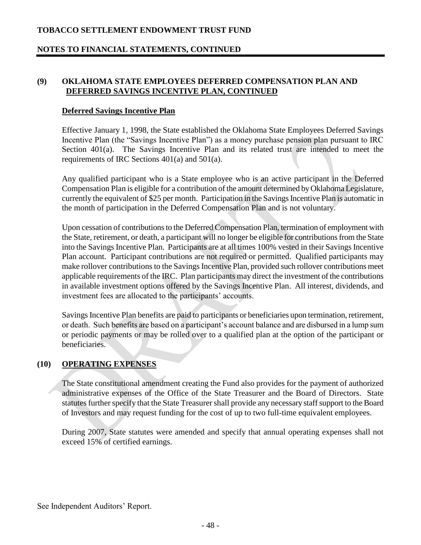### **NOTES TO FINANCIAL STATEMENTS, CONTINUED**

### **(9) OKLAHOMA STATE EMPLOYEES DEFERRED COMPENSATION PLAN AND DEFERRED SAVINGS INCENTIVE PLAN, CONTINUED**

#### **Deferred Savings Incentive Plan**

Effective January 1, 1998, the State established the Oklahoma State Employees Deferred Savings Incentive Plan (the "Savings Incentive Plan") as a money purchase pension plan pursuant to IRC Section 401(a). The Savings Incentive Plan and its related trust are intended to meet the requirements of IRC Sections 401(a) and 501(a).

Any qualified participant who is a State employee who is an active participant in the Deferred Compensation Plan is eligible for a contribution of the amount determined by Oklahoma Legislature, currently the equivalent of \$25 per month. Participation in the Savings Incentive Plan is automatic in the month of participation in the Deferred Compensation Plan and is not voluntary.

Upon cessation of contributions to the Deferred Compensation Plan, termination of employment with the State, retirement, or death, a participant will no longer be eligible for contributions from the State into the Savings Incentive Plan. Participants are at all times 100% vested in their Savings Incentive Plan account. Participant contributions are not required or permitted. Qualified participants may make rollover contributions to the Savings Incentive Plan, provided such rollover contributions meet applicable requirements of the IRC. Plan participants may direct the investment of the contributions in available investment options offered by the Savings Incentive Plan. All interest, dividends, and investment fees are allocated to the participants' accounts.

Savings Incentive Plan benefits are paid to participants or beneficiaries upon termination, retirement, or death. Such benefits are based on a participant's account balance and are disbursed in a lump sum or periodic payments or may be rolled over to a qualified plan at the option of the participant or beneficiaries.

#### **(10) OPERATING EXPENSES**

The State constitutional amendment creating the Fund also provides for the payment of authorized administrative expenses of the Office of the State Treasurer and the Board of Directors. State statutes further specify that the State Treasurer shall provide any necessary staff support to the Board of Investors and may request funding for the cost of up to two full-time equivalent employees.

During 2007, State statutes were amended and specify that annual operating expenses shall not exceed 15% of certified earnings.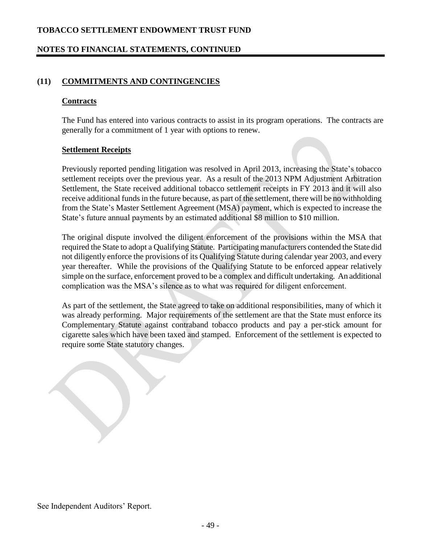### **NOTES TO FINANCIAL STATEMENTS, CONTINUED**

### **(11) COMMITMENTS AND CONTINGENCIES**

#### **Contracts**

The Fund has entered into various contracts to assist in its program operations. The contracts are generally for a commitment of 1 year with options to renew.

#### **Settlement Receipts**

Previously reported pending litigation was resolved in April 2013, increasing the State's tobacco settlement receipts over the previous year. As a result of the 2013 NPM Adjustment Arbitration Settlement, the State received additional tobacco settlement receipts in FY 2013 and it will also receive additional funds in the future because, as part of the settlement, there will be no withholding from the State's Master Settlement Agreement (MSA) payment, which is expected to increase the State's future annual payments by an estimated additional \$8 million to \$10 million.

The original dispute involved the diligent enforcement of the provisions within the MSA that required the State to adopt a Qualifying Statute. Participating manufacturers contended the State did not diligently enforce the provisions of its Qualifying Statute during calendar year 2003, and every year thereafter. While the provisions of the Qualifying Statute to be enforced appear relatively simple on the surface, enforcement proved to be a complex and difficult undertaking. An additional complication was the MSA's silence as to what was required for diligent enforcement.

As part of the settlement, the State agreed to take on additional responsibilities, many of which it was already performing. Major requirements of the settlement are that the State must enforce its Complementary Statute against contraband tobacco products and pay a per-stick amount for cigarette sales which have been taxed and stamped. Enforcement of the settlement is expected to require some State statutory changes.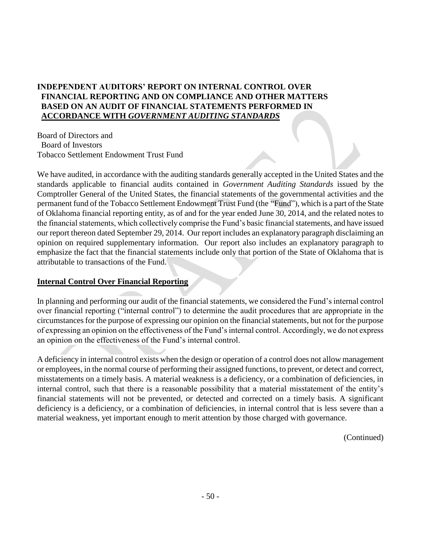# **INDEPENDENT AUDITORS' REPORT ON INTERNAL CONTROL OVER FINANCIAL REPORTING AND ON COMPLIANCE AND OTHER MATTERS BASED ON AN AUDIT OF FINANCIAL STATEMENTS PERFORMED IN ACCORDANCE WITH** *GOVERNMENT AUDITING STANDARDS*

Board of Directors and Board of Investors Tobacco Settlement Endowment Trust Fund

We have audited, in accordance with the auditing standards generally accepted in the United States and the standards applicable to financial audits contained in *Government Auditing Standards* issued by the Comptroller General of the United States, the financial statements of the governmental activities and the permanent fund of the Tobacco Settlement Endowment Trust Fund (the "Fund"), which is a part of the State of Oklahoma financial reporting entity, as of and for the year ended June 30, 2014, and the related notes to the financial statements, which collectively comprise the Fund's basic financial statements, and have issued our report thereon dated September 29, 2014. Our report includes an explanatory paragraph disclaiming an opinion on required supplementary information. Our report also includes an explanatory paragraph to emphasize the fact that the financial statements include only that portion of the State of Oklahoma that is attributable to transactions of the Fund.

### **Internal Control Over Financial Reporting**

In planning and performing our audit of the financial statements, we considered the Fund's internal control over financial reporting ("internal control") to determine the audit procedures that are appropriate in the circumstances for the purpose of expressing our opinion on the financial statements, but not for the purpose of expressing an opinion on the effectiveness of the Fund's internal control. Accordingly, we do not express an opinion on the effectiveness of the Fund's internal control.

A deficiency in internal control exists when the design or operation of a control does not allow management or employees, in the normal course of performing their assigned functions, to prevent, or detect and correct, misstatements on a timely basis. A material weakness is a deficiency, or a combination of deficiencies, in internal control, such that there is a reasonable possibility that a material misstatement of the entity's financial statements will not be prevented, or detected and corrected on a timely basis. A significant deficiency is a deficiency, or a combination of deficiencies, in internal control that is less severe than a material weakness, yet important enough to merit attention by those charged with governance.

(Continued)